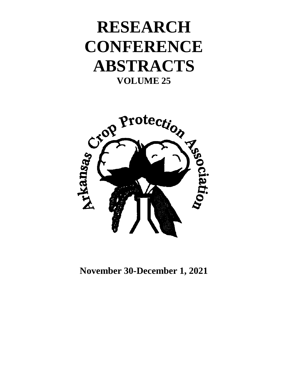# **RESEARCH CONFERENCE ABSTRACTS VOLUME 25**



**November 30-December 1, 2021**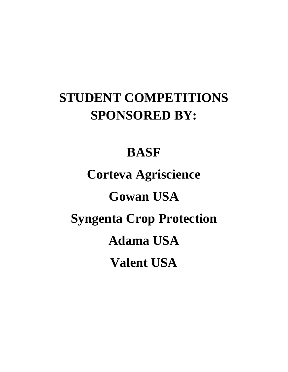# **STUDENT COMPETITIONS SPONSORED BY:**

# **BASF**

# **Corteva Agriscience Gowan USA Syngenta Crop Protection Adama USA Valent USA**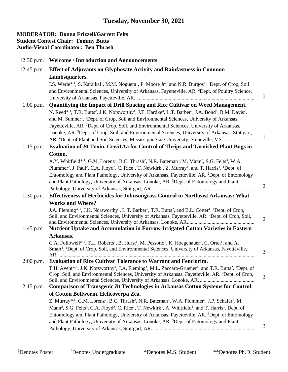#### **MODERATOR: Donna Frizzell/Garrett Felts Student Contest Chair: Tommy Butts Audio-Visual Coordinator: Ben Thrash**

| $12:30$ p.m. | <b>Welcome / Introduction and Announcements</b>                                                                                                                                                      |                |
|--------------|------------------------------------------------------------------------------------------------------------------------------------------------------------------------------------------------------|----------------|
| $12:45$ p.m. | <b>Effect of Adjuvants on Glyphosate Activity and Rainfastness in Common</b>                                                                                                                         |                |
|              | Lambsquarters.                                                                                                                                                                                       |                |
|              | I.S. Werle <sup>*,1</sup> , S. Karaikal <sup>1</sup> , M.M. Noguera <sup>1</sup> , P. Moore Jr <sup>2</sup> , and N.R. Burgos <sup>1</sup> . <sup>1</sup> Dept. of Crop, Soil                        |                |
|              | and Environmental Sciences, University of Arkansas, Fayetteville, AR; <sup>2</sup> Dept. of Poultry Science,                                                                                         |                |
|              |                                                                                                                                                                                                      | $\mathbf{1}$   |
| $1:00$ p.m.  | Quantifying the Impact of Drill Spacing and Rice Cultivar on Weed Management.                                                                                                                        |                |
|              | N. Reed* <sup>4,1</sup> , T.R. Butts <sup>2</sup> , J.K. Norsworthy <sup>1</sup> , J.T. Hardke <sup>3</sup> , L.T. Barber <sup>2</sup> , J.A. Bond <sup>4</sup> , B.M. Davis <sup>2</sup> ,          |                |
|              | and M. Sumner <sup>1</sup> . <sup>1</sup> Dept. of Crop, Soil and Environmental Sciences, University of Arkansas,                                                                                    |                |
|              | Fayetteville, AR. <sup>2</sup> Dept. of Crop, Soil, and Environmental Sciences, University of Arkansas,                                                                                              |                |
|              | Lonoke, AR. <sup>3</sup> Dept. of Crop, Soil, and Environmental Sciences, University of Arkansas, Stuttgart,                                                                                         |                |
|              | AR. <sup>4</sup> Dept. of Plant and Soil Sciences, Mississippi State University, Stoneville, MS                                                                                                      | $\mathbf{1}$   |
| $1:15$ p.m.  | Evaluation of Bt Toxin, Cry51Aa for Control of Thrips and Tarnished Plant Bugs in                                                                                                                    |                |
|              | Cotton.                                                                                                                                                                                              |                |
|              | A.Y. Whitfield* <sup>,1</sup> , G.M. Lorenz <sup>2</sup> , B.C. Thrash <sup>2</sup> , N.R. Bateman <sup>3</sup> , M. Mann <sup>2</sup> , S.G. Felts <sup>3</sup> , W.A.                              |                |
|              | Plummer <sup>2</sup> , J. Paul <sup>2</sup> , C.A. Floyd <sup>2</sup> , C. Rice <sup>1</sup> , T. Newkirk <sup>1</sup> , Z. Murray <sup>1</sup> , and T. Harris <sup>1</sup> . <sup>1</sup> Dept. of |                |
|              | Entomology and Plant Pathology, University of Arkansas, Fayetteville, AR. <sup>2</sup> Dept. of Entomology                                                                                           |                |
|              | and Plant Pathology, University of Arkansas, Lonoke, AR. <sup>3</sup> Dept. of Entomology and Plant                                                                                                  |                |
|              |                                                                                                                                                                                                      | $\overline{2}$ |
| $1:30$ p.m.  | Effectiveness of Herbicides for Johnsongrass Control in Northeast Arkansas: What                                                                                                                     |                |
|              | <b>Works and Where?</b>                                                                                                                                                                              |                |
|              | J.A. Fleming* <sup>1</sup> , J.K. Norsworthy <sup>1</sup> , L.T. Barber <sup>2</sup> , T.R. Butts <sup>2</sup> , and B.L. Cotter <sup>1</sup> . <sup>1</sup> Dept. of Crop,                          |                |
|              | Soil, and Environmental Sciences, University of Arkansas, Fayetteville, AR. <sup>2</sup> Dept. of Crop, Soil,                                                                                        | $\overline{2}$ |
|              |                                                                                                                                                                                                      |                |
| $1:45$ p.m.  | Nutrient Uptake and Accumulation in Furrow-Irrigated Cotton Varieties in Eastern                                                                                                                     |                |
|              | Arkansas.                                                                                                                                                                                            |                |
|              | C.A. Followell* <sup>,1</sup> , T.L. Roberts <sup>1</sup> , B. Hurst <sup>1</sup> , M. Pessotto <sup>1</sup> , K. Hoegenauer <sup>1</sup> , C. Ortel <sup>1</sup> , and A.                           |                |
|              | Smart <sup>1</sup> . <sup>1</sup> Dept. of Crop, Soil, and Environmental Sciences, University of Arkansas, Fayetteville,                                                                             | 3              |
| $2:00$ p.m.  | <b>Evaluation of Rice Cultivar Tolerance to Warrant and Fenclorim.</b>                                                                                                                               |                |
|              | T.H. Avent*, <sup>1</sup> , J.K. Norsworthy <sup>1</sup> , J.A. Fleming <sup>1</sup> , M.L. Zaccaro-Gruener <sup>1</sup> , and T.R. Butts <sup>2</sup> . <sup>1</sup> Dept. of                       |                |
|              | Crop, Soil, and Environmental Sciences, University of Arkansas, Fayetteville, AR. <sup>2</sup> Dept. of Crop,                                                                                        |                |
|              |                                                                                                                                                                                                      | 3              |
| $2:15$ p.m.  | <b>Comparison of Transgenic Bt Technologies in Arkansas Cotton Systems for Control</b>                                                                                                               |                |
|              | of Cotton Bollworm, Helicoverpa Zea.                                                                                                                                                                 |                |
|              | Z. Murray* <sup>,1</sup> , G.M. Lorenz <sup>2</sup> , B.C. Thrash <sup>2</sup> , N.R. Bateman <sup>3</sup> , W.A. Plummer <sup>2</sup> , J.P. Schafer <sup>2</sup> , M.                              |                |
|              | Mann <sup>2</sup> , S.G. Felts <sup>3</sup> , C.A. Floyd <sup>2</sup> , C. Rice <sup>1</sup> , T. Newkirk <sup>1</sup> , A. Whitfield <sup>1</sup> , and T. Harris <sup>1</sup> . Dept. of           |                |
|              | Entomology and Plant Pathology, University of Arkansas, Fayetteville, AR. <sup>2</sup> Dept. of Entomology                                                                                           |                |
|              | and Plant Pathology, University of Arkansas, Lonoke, AR. <sup>3</sup> Dept. of Entomology and Plant                                                                                                  |                |
|              |                                                                                                                                                                                                      | 3              |
|              |                                                                                                                                                                                                      |                |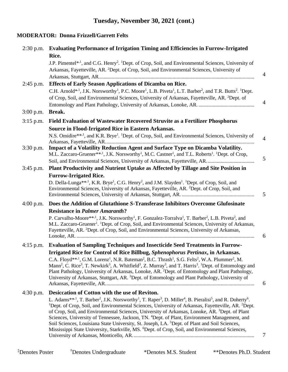# **Tuesday, November 30, 2021 (cont.)**

# **MODERATOR: Donna Frizzell/Garrett Felts**

| $2:30$ p.m. | <b>Evaluating Performance of Irrigation Timing and Efficiencies in Furrow-Irrigated</b>                                                                                                                                                                                                                                                                                                                                                                                                                                                                                                                                                                                                                                                                               |
|-------------|-----------------------------------------------------------------------------------------------------------------------------------------------------------------------------------------------------------------------------------------------------------------------------------------------------------------------------------------------------------------------------------------------------------------------------------------------------------------------------------------------------------------------------------------------------------------------------------------------------------------------------------------------------------------------------------------------------------------------------------------------------------------------|
|             | Rice.                                                                                                                                                                                                                                                                                                                                                                                                                                                                                                                                                                                                                                                                                                                                                                 |
|             | J.P. Pimentel* <sup>1</sup> , and C.G. Henry <sup>2</sup> . <sup>1</sup> Dept. of Crop, Soil, and Environmental Sciences, University of                                                                                                                                                                                                                                                                                                                                                                                                                                                                                                                                                                                                                               |
|             | Arkansas, Fayetteville, AR. <sup>2</sup> Dept. of Crop, Soil, and Environmental Sciences, University of                                                                                                                                                                                                                                                                                                                                                                                                                                                                                                                                                                                                                                                               |
| $2:45$ p.m. | <b>Effects of Early Season Applications of Dicamba on Rice.</b>                                                                                                                                                                                                                                                                                                                                                                                                                                                                                                                                                                                                                                                                                                       |
|             | C.H. Arnold* <sup>,1</sup> , J.K. Norsworthy <sup>1</sup> , P.C. Moore <sup>1</sup> , L.B. Piveta <sup>1</sup> , L.T. Barber <sup>2</sup> , and T.R. Butts <sup>2</sup> . <sup>1</sup> Dept.<br>of Crop, Soil, and Environmental Sciences, University of Arkansas, Fayetteville, AR. <sup>2</sup> Dept. of                                                                                                                                                                                                                                                                                                                                                                                                                                                            |
| $3:00$ p.m. | Break.                                                                                                                                                                                                                                                                                                                                                                                                                                                                                                                                                                                                                                                                                                                                                                |
| $3:15$ p.m. | Field Evaluation of Wastewater Recovered Struvite as a Fertilizer Phosphorus                                                                                                                                                                                                                                                                                                                                                                                                                                                                                                                                                                                                                                                                                          |
|             | <b>Source in Flood-Irrigated Rice in Eastern Arkansas.</b>                                                                                                                                                                                                                                                                                                                                                                                                                                                                                                                                                                                                                                                                                                            |
|             | N.S. Omidire** <sup>1</sup> , and K.R. Brye <sup>1</sup> . <sup>1</sup> Dept. of Crop, Soil, and Environmental Sciences, University of                                                                                                                                                                                                                                                                                                                                                                                                                                                                                                                                                                                                                                |
| $3:30$ p.m. | Impact of a Volatility Reduction Agent and Surface Type on Dicamba Volatility.<br>M.L. Zaccaro-Gruener**, <sup>1</sup> , J.K. Norsworthy <sup>1</sup> , M.C. Castner <sup>1</sup> , and T.L. Roberts <sup>1</sup> . <sup>1</sup> Dept. of Crop,                                                                                                                                                                                                                                                                                                                                                                                                                                                                                                                       |
|             |                                                                                                                                                                                                                                                                                                                                                                                                                                                                                                                                                                                                                                                                                                                                                                       |
| $3:45$ p.m. | Plant Productivity and Nutrient Uptake as Affected by Tillage and Site Position in                                                                                                                                                                                                                                                                                                                                                                                                                                                                                                                                                                                                                                                                                    |
|             | <b>Furrow-Irrigated Rice.</b>                                                                                                                                                                                                                                                                                                                                                                                                                                                                                                                                                                                                                                                                                                                                         |
|             | D. Della-Lunga** <sup>1</sup> , K.R. Brye <sup>1</sup> , C.G. Henry <sup>2</sup> , and J.M. Slayden <sup>1</sup> . <sup>1</sup> Dept. of Crop, Soil, and<br>Environmental Sciences, University of Arkansas, Fayetteville, AR. <sup>2</sup> Dept. of Crop, Soil, and                                                                                                                                                                                                                                                                                                                                                                                                                                                                                                   |
| $4:00$ p.m. | Does the Addition of Glutathione S-Transferase Inhibitors Overcome Glufosinate                                                                                                                                                                                                                                                                                                                                                                                                                                                                                                                                                                                                                                                                                        |
|             | <b>Resistance in Palmer Amaranth?</b>                                                                                                                                                                                                                                                                                                                                                                                                                                                                                                                                                                                                                                                                                                                                 |
|             | P. Carvalho-Moore**, <sup>1</sup> , J.K. Norsworthy <sup>1</sup> , F. Gonzalez-Torralva <sup>1</sup> , T. Barber <sup>2</sup> , L.B. Piveta <sup>2</sup> , and<br>M.L. Zaccaro-Gruener <sup>1</sup> . <sup>1</sup> Dept. of Crop, Soil, and Environmental Sciences, University of Arkansas,<br>Fayetteville, AR. <sup>2</sup> Dept. of Crop, Soil, and Environmental Sciences, University of Arkansas,                                                                                                                                                                                                                                                                                                                                                                |
| $4:15$ p.m. | <b>Evaluation of Sampling Techniques and Insecticide Seed Treatments in Furrow-</b>                                                                                                                                                                                                                                                                                                                                                                                                                                                                                                                                                                                                                                                                                   |
|             | Irrigated Rice for Control of Rice Billbug, Sphenophorus Pertinax, in Arkansas.                                                                                                                                                                                                                                                                                                                                                                                                                                                                                                                                                                                                                                                                                       |
|             | C.A. Floyd** <sup>,1</sup> , G.M. Lorenz <sup>1</sup> , N.R. Bateman <sup>2</sup> , B.C. Thrash <sup>1</sup> , S.G. Felts <sup>2</sup> , W.A. Plummer <sup>2</sup> , M.<br>Mann <sup>2</sup> , C. Rice <sup>3</sup> , T. Newkirk <sup>3</sup> , A. Whitfield <sup>3</sup> , Z. Murray <sup>3</sup> , and T. Harris <sup>3</sup> . <sup>1</sup> Dept. of Entomology and<br>Plant Pathology, University of Arkansas, Lonoke, AR. <sup>2</sup> Dept. of Entomology and Plant Pathology,<br>University of Arkansas, Stuttgart, AR. <sup>3</sup> Dept. of Entomology and Plant Pathology, University of                                                                                                                                                                    |
| $4:30$ p.m. | Desiccation of Cotton with the use of Reviton.                                                                                                                                                                                                                                                                                                                                                                                                                                                                                                                                                                                                                                                                                                                        |
|             | L. Adams**, <sup>1</sup> , T. Barber <sup>2</sup> , J.K. Norsworthy <sup>1</sup> , T. Raper <sup>3</sup> , D. Miller <sup>4</sup> , B. Pieralisi <sup>5</sup> , and R. Doherty <sup>6</sup> .<br><sup>1</sup> Dept. of Crop, Soil, and Environmental Sciences, University of Arkansas, Fayetteville, AR. <sup>2</sup> Dept.<br>of Crop, Soil, and Environmental Sciences, University of Arkansas, Lonoke, AR. 3Dept. of Plant<br>Sciences, University of Tennessee, Jackson, TN. <sup>4</sup> Dept. of Plant, Environment Management, and<br>Soil Sciences, Louisiana State University, St. Joseph, LA. <sup>5</sup> Dept. of Plant and Soil Sciences,<br>Mississippi State University, Starkville, MS. <sup>6</sup> Dept. of Crop, Soil, and Environmental Sciences, |
|             |                                                                                                                                                                                                                                                                                                                                                                                                                                                                                                                                                                                                                                                                                                                                                                       |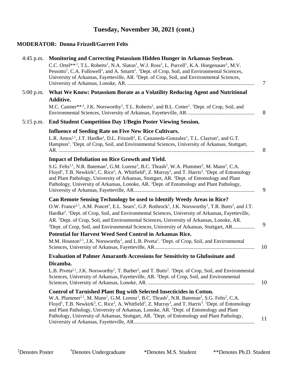# **Tuesday, November 30, 2021 (cont.)**

#### **MODERATOR: Donna Frizzell/Garrett Felts**

| 4:45 p.m. | Monitoring and Correcting Potassium Hidden Hunger in Arkansas Soybean.<br>C.C. Ortel** <sup>,1</sup> , T.L. Roberts <sup>1</sup> , N.A. Slaton <sup>1</sup> , W.J. Ross <sup>2</sup> , L. Purcell <sup>1</sup> , K.A. Hoegenauer <sup>1</sup> , M.V.<br>Pessotto <sup>1</sup> , C.A. Followell <sup>1</sup> , and A. Smartt <sup>1</sup> . <sup>1</sup> Dept. of Crop, Soil, and Environmental Sciences,<br>University of Arkansas, Fayetteville, AR. <sup>2</sup> Dept. of Crop, Soil, and Environmental Sciences,                                                                                                                                                  | $\tau$ |
|-----------|----------------------------------------------------------------------------------------------------------------------------------------------------------------------------------------------------------------------------------------------------------------------------------------------------------------------------------------------------------------------------------------------------------------------------------------------------------------------------------------------------------------------------------------------------------------------------------------------------------------------------------------------------------------------|--------|
| 5:00 p.m. | What We Know: Potassium Borate as a Volatility Reducing Agent and Nutritional<br><b>Additive.</b><br>M.C. Castner**, <sup>1</sup> , J.K. Norsworthy <sup>1</sup> , T.L. Roberts <sup>1</sup> , and B.L. Cotter <sup>1</sup> . <sup>1</sup> Dept. of Crop, Soil, and                                                                                                                                                                                                                                                                                                                                                                                                  | 8      |
| 5:15 p.m. | <b>End Student Competition Day 1/Begin Poster Viewing Session.</b>                                                                                                                                                                                                                                                                                                                                                                                                                                                                                                                                                                                                   |        |
|           | <b>Influence of Seeding Rate on Five New Rice Cultivars.</b><br>L.R. Amos <sup>†,1</sup> , J.T. Hardke <sup>1</sup> , D.L. Frizzell <sup>1</sup> , E. Castaneda-Gonzalez <sup>1</sup> , T.L. Clayton <sup>1</sup> , and G.T.<br>Hampton <sup>1</sup> . <sup>1</sup> Dept. of Crop, Soil, and Environmental Sciences, University of Arkansas, Stuttgart,                                                                                                                                                                                                                                                                                                              | 8      |
|           | <b>Impact of Defoliation on Rice Growth and Yield.</b><br>S.G. Felts <sup>‡,1</sup> , N.R. Bateman <sup>1</sup> , G.M. Lorenz <sup>2</sup> , B.C. Thrash <sup>2</sup> , W.A. Plummer <sup>2</sup> , M. Mann <sup>2</sup> , C.A.<br>Floyd <sup>2</sup> , T.B. Newkirk <sup>3</sup> , C. Rice <sup>3</sup> , A. Whitfield <sup>3</sup> , Z. Murray <sup>3</sup> , and T. Harris <sup>3</sup> . <sup>1</sup> Dept. of Entomology<br>and Plant Pathology, University of Arkansas, Stuttgart, AR. <sup>2</sup> Dept. of Entomology and Plant<br>Pathology, University of Arkansas, Lonoke, AR. <sup>3</sup> Dept. of Entomology and Plant Pathology,                      | 9      |
|           | Can Remote Sensing Technology be used to Identify Weedy Areas in Rice?<br>O.W. France <sup>‡,1</sup> , A.M. Poncet <sup>1</sup> , E.L. Sears <sup>1</sup> , G.P. Rothrock <sup>1</sup> , J.K. Norsworthy <sup>1</sup> , T.R. Butts <sup>2</sup> , and J.T.<br>Hardke <sup>3</sup> . <sup>1</sup> Dept. of Crop, Soil, and Environmental Sciences, University of Arkansas, Fayetteville,<br>AR. <sup>2</sup> Dept. of Crop, Soil, and Environmental Sciences, University of Arkansas, Lonoke, AR.                                                                                                                                                                     | 9      |
|           | <sup>3</sup> Dept. of Crop, Soil, and Environmental Sciences, University of Arkansas, Stuttgart, AR<br>Potential for Harvest Weed Seed Control in Arkansas Rice.<br>M.M. Houston <sup>†, 1</sup> , J.K. Norsworthy <sup>1</sup> , and L.B. Piveta <sup>1</sup> . <sup>1</sup> Dept. of Crop, Soil, and Environmental                                                                                                                                                                                                                                                                                                                                                 | 10     |
|           | <b>Evaluation of Palmer Amaranth Accessions for Sensitivity to Glufosinate and</b><br>Dicamba.<br>L.B. Piveta <sup>†, 1</sup> , J.K. Norsworthy <sup>1</sup> , T. Barber <sup>2</sup> , and T. Butts <sup>2</sup> . <sup>1</sup> Dept. of Crop, Soil, and Environmental<br>Sciences, University of Arkansas, Fayetteville, AR. <sup>2</sup> Dept. of Crop, Soil, and Environmental                                                                                                                                                                                                                                                                                   | 10     |
|           | <b>Control of Tarnished Plant Bug with Selected Insecticides in Cotton.</b><br>W.A. Plummer <sup>‡,1</sup> , M. Mann <sup>1</sup> , G.M. Lorenz <sup>1</sup> , B.C. Thrash <sup>1</sup> , N.R. Bateman <sup>2</sup> , S.G. Felts <sup>2</sup> , C.A.<br>Floyd <sup>1</sup> , T.B. Newkirk <sup>3</sup> , C. Rice <sup>3</sup> , A. Whitfield <sup>3</sup> , Z. Murray <sup>3</sup> , and T. Harris <sup>3</sup> . <sup>1</sup> Dept. of Entomology<br>and Plant Pathology, University of Arkansas, Lonoke, AR. <sup>2</sup> Dept. of Entomology and Plant<br>Pathology, University of Arkansas, Stuttgart, AR. <sup>3</sup> Dept. of Entomology and Plant Pathology, | 11     |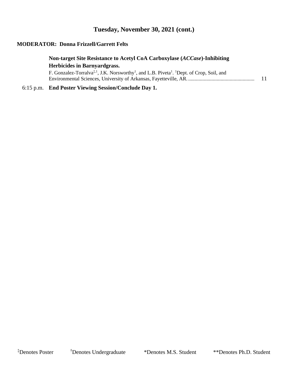## **Tuesday, November 30, 2021 (cont.)**

#### **MODERATOR: Donna Frizzell/Garrett Felts**

## **Non-target Site Resistance to Acetyl CoA Carboxylase (***ACCase***)-Inhibiting Herbicides in Barnyardgrass.**

F. Gonzalez-Torralva<sup>‡, 1</sup>, J.K. Norsworthy<sup>1</sup>, and L.B. Piveta<sup>1</sup>. <sup>1</sup>Dept. of Crop, Soil, and Environmental Sciences, University of Arkansas, Fayetteville, AR. ................................................... 11

#### 6:15 p.m. **End Poster Viewing Session/Conclude Day 1.**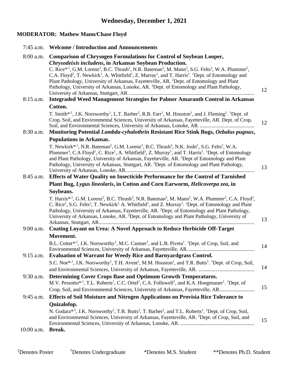## **MODERATOR: Mathew Mann/Chase Floyd**

|              | 7:45 a.m. Welcome / Introduction and Announcements                                                                                                                                                                                                                                                                                                                                                                                                                                                                                                                                                                                                                                                                 |    |
|--------------|--------------------------------------------------------------------------------------------------------------------------------------------------------------------------------------------------------------------------------------------------------------------------------------------------------------------------------------------------------------------------------------------------------------------------------------------------------------------------------------------------------------------------------------------------------------------------------------------------------------------------------------------------------------------------------------------------------------------|----|
| $8:00$ a.m.  | <b>Comparison of Chrysogen Formulations for Control of Soybean Looper,</b><br>Chrysodeixis includens, in Arkansas Soybean Production.<br>C. Rice* <sup>1</sup> , G.M. Lorenz <sup>2</sup> , B.C. Thrash <sup>2</sup> , N.R. Bateman <sup>3</sup> , M. Mann <sup>2</sup> , S.G. Felts <sup>3</sup> , W.A. Plummer <sup>2</sup> ,<br>C.A. Floyd <sup>2</sup> , T. Newkirk <sup>1</sup> , A. Whitfield <sup>1</sup> , Z. Murray <sup>1</sup> , and T. Harris <sup>1</sup> . <sup>1</sup> Dept. of Entomology and<br>Plant Pathology, University of Arkansas, Fayetteville, AR. <sup>2</sup> Dept. of Entomology and Plant<br>Pathology, University of Arkansas, Lonoke, AR. 3Dept. of Entomology and Plant Pathology, | 12 |
| $8:15$ a.m.  | <b>Integraded Weed Management Strategies for Palmer Amaranth Control in Arkansas</b>                                                                                                                                                                                                                                                                                                                                                                                                                                                                                                                                                                                                                               |    |
|              | Cotton.                                                                                                                                                                                                                                                                                                                                                                                                                                                                                                                                                                                                                                                                                                            |    |
|              | T. Smith* <sup>1</sup> , J.K. Norsworthy <sup>1</sup> , L.T. Barber <sup>2</sup> , R.B. Farr <sup>1</sup> , M. Houston <sup>1</sup> , and J. Fleming <sup>1</sup> . <sup>1</sup> Dept. of<br>Crop, Soil, and Environmental Sciences, University of Arkansas, Fayetteville, AR. Dept. of Crop,                                                                                                                                                                                                                                                                                                                                                                                                                      | 12 |
| $8:30$ a.m.  | Monitoring Potential Lambda-cyhalothrin Resistant Rice Stink Bugs, Oebalus pugnax,                                                                                                                                                                                                                                                                                                                                                                                                                                                                                                                                                                                                                                 |    |
|              | <b>Populations in Arkansas.</b><br>T. Newkirk*, <sup>1</sup> , N.R. Bateman <sup>2</sup> , G.M. Lorenz <sup>3</sup> , B.C. Thrash <sup>3</sup> , N.K. Joshi <sup>1</sup> , S.G. Felts <sup>2</sup> , W.A.<br>Plummer <sup>3</sup> , C.A Floyd <sup>1</sup> , C. Rice <sup>1</sup> , A. Whitfield <sup>1</sup> , Z. Murray <sup>1</sup> , and T. Harris <sup>1</sup> . <sup>1</sup> Dept. of Entomology<br>and Plant Pathology, University of Arkansas, Fayetteville, AR. <sup>2</sup> Dept of Entomology and Plant<br>Pathology, University of Arkansas, Stuttgart, AR. <sup>3</sup> Dept. of Entomology and Plant Pathology,                                                                                      | 13 |
| $8:45$ a.m.  | Effects of Water Quality on Insecticide Performance for the Control of Tarnished                                                                                                                                                                                                                                                                                                                                                                                                                                                                                                                                                                                                                                   |    |
|              | Plant Bug, Lygus lineolaris, in Cotton and Corn Earworm, Helicoverpa zea, in                                                                                                                                                                                                                                                                                                                                                                                                                                                                                                                                                                                                                                       |    |
|              | Soybeans.                                                                                                                                                                                                                                                                                                                                                                                                                                                                                                                                                                                                                                                                                                          |    |
|              | T. Harris* <sup>,1</sup> , G.M. Lorenz <sup>2</sup> , B.C. Thrash <sup>2</sup> , N.R. Bateman <sup>3</sup> , M. Mann <sup>2</sup> , W.A. Plummer <sup>2</sup> , C.A. Floyd <sup>2</sup> ,<br>C. Rice <sup>1</sup> , S.G. Felts <sup>3</sup> , T. Newkirk <sup>1,</sup> A. Whitfield <sup>1</sup> , and Z. Murray <sup>1</sup> . <sup>1</sup> Dept. of Entomology and Plant<br>Pathology, University of Arkansas, Fayetteville, AR. <sup>2</sup> Dept. of Entomology and Plant Pathology,<br>University of Arkansas, Lonoke, AR. <sup>3</sup> Dept. of Entomology and Plant Pathology, University of                                                                                                                | 13 |
| $9:00$ a.m.  | Coating Loyant on Urea: A Novel Approach to Reduce Herbicide Off-Target                                                                                                                                                                                                                                                                                                                                                                                                                                                                                                                                                                                                                                            |    |
|              | Movement.<br>B.L. Cotter*, <sup>1</sup> , J.K. Norsworthy <sup>1</sup> , M.C. Castner <sup>1</sup> , and L.B. Piveta <sup>1</sup> , <sup>1</sup> Dept. of Crop, Soil, and                                                                                                                                                                                                                                                                                                                                                                                                                                                                                                                                          | 14 |
|              | 9:15 a.m. Evaluation of Warrant for Weedy Rice and Barnyardgrass Control.                                                                                                                                                                                                                                                                                                                                                                                                                                                                                                                                                                                                                                          |    |
|              | S.C. Noe <sup>*,1</sup> , J.K. Norsworthy <sup>1</sup> , T.H. Avent <sup>1</sup> , M.M. Houston <sup>1</sup> , and T.R. Butts <sup>1</sup> . <sup>1</sup> Dept. of Crop, Soil,                                                                                                                                                                                                                                                                                                                                                                                                                                                                                                                                     | 14 |
| $9:30$ a.m.  | Determining Cover Crops Base and Optimum Growth Temperatures.<br>M.V. Pessotto* <sup>1</sup> , T.L. Roberts <sup>1</sup> , C.C. Ortel <sup>1</sup> , C.A. Followell <sup>1</sup> , and K.A. Hoegenauer <sup>1</sup> . <sup>1</sup> Dept. of<br>Crop, Soil, and Environmental Sciences, University of Arkansas, Fayetteville, AR                                                                                                                                                                                                                                                                                                                                                                                    | 15 |
| $9:45$ a.m.  | Effects of Soil Moisture and Nitrogen Applications on Provisia Rice Tolerance to                                                                                                                                                                                                                                                                                                                                                                                                                                                                                                                                                                                                                                   |    |
|              | Quizalofop.                                                                                                                                                                                                                                                                                                                                                                                                                                                                                                                                                                                                                                                                                                        |    |
| $10:00$ a.m. | N. Godara* <sup>1</sup> , J.K. Norsworthy <sup>1</sup> , T.R. Butts <sup>2</sup> , T. Barber <sup>2</sup> , and T.L. Roberts <sup>1</sup> . <sup>1</sup> Dept. of Crop, Soil,<br>and Environmental Sciences, University of Arkansas, Fayetteville, AR. <sup>2</sup> Dept. of Crop, Soil, and<br>Break.                                                                                                                                                                                                                                                                                                                                                                                                             | 15 |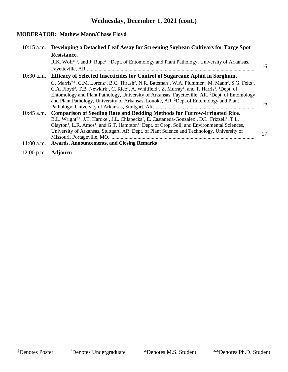# **Wednesday, December 1, 2021 (cont.)**

# **MODERATOR: Mathew Mann/Chase Floyd**

| $10:15$ a.m. | Developing a Detached Leaf Assay for Screening Soybean Cultivars for Targe Spot                                                                                                                                                                                                                                                                                                   |    |
|--------------|-----------------------------------------------------------------------------------------------------------------------------------------------------------------------------------------------------------------------------------------------------------------------------------------------------------------------------------------------------------------------------------|----|
|              | Resistance.                                                                                                                                                                                                                                                                                                                                                                       |    |
|              | R.K. Wolf* <sup>1</sup> , and J. Rupe <sup>1</sup> . <sup>1</sup> Dept. of Entomology and Plant Pathology, University of Arkansas,                                                                                                                                                                                                                                                |    |
|              |                                                                                                                                                                                                                                                                                                                                                                                   | 16 |
| $10:30$ a.m. | <b>Efficacy of Selected Insecticides for Control of Sugarcane Aphid in Sorghum.</b>                                                                                                                                                                                                                                                                                               |    |
|              | G. Marris <sup>†,1</sup> , G.M. Lorenz <sup>2</sup> , B.C. Thrash <sup>2</sup> , N.R. Bateman <sup>3</sup> , W.A. Plummer <sup>2</sup> , M. Mann <sup>2</sup> , S.G. Felts <sup>3</sup> ,<br>C.A. Floyd <sup>2</sup> , T.B. Newkirk <sup>1</sup> , C. Rice <sup>1</sup> , A. Whitfield <sup>1</sup> , Z. Murray <sup>1</sup> , and T. Harris <sup>1</sup> . <sup>1</sup> Dept. of |    |
|              | Entomology and Plant Pathology, University of Arkansas, Fayetteville, AR. <sup>2</sup> Dept. of Entomology<br>and Plant Pathology, University of Arkansas, Lonoke, AR. 3Dept of Entomology and Plant                                                                                                                                                                              | 16 |
|              |                                                                                                                                                                                                                                                                                                                                                                                   |    |
| $10:45$ a.m. | Comparison of Seeding Rate and Bedding Methods for Furrow-Irrigated Rice.                                                                                                                                                                                                                                                                                                         |    |
|              | B.L. Wright <sup>†, 1</sup> , J.T. Hardke <sup>1</sup> , J.L. Chlapecka <sup>2</sup> , E. Castaneda-Gonzalez <sup>1</sup> , D.L. Frizzell <sup>1</sup> , T.L.                                                                                                                                                                                                                     |    |
|              | Clayton <sup>1</sup> , L.R. Amos <sup>1</sup> , and G.T. Hampton <sup>1</sup> . Dept. of Crop, Soil, and Environmental Sciences,                                                                                                                                                                                                                                                  |    |
|              | University of Arkansas, Stuttgart, AR. Dept. of Plant Science and Technology, University of                                                                                                                                                                                                                                                                                       | 17 |
|              |                                                                                                                                                                                                                                                                                                                                                                                   |    |
| $11:00$ a.m. | <b>Awards, Announcements, and Closing Remarks</b>                                                                                                                                                                                                                                                                                                                                 |    |

12:00 p.m. **Adjourn**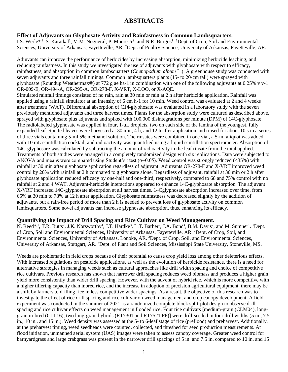## **ABSTRACTS**

#### **Effect of Adjuvants on Glyphosate Activity and Rainfastness in Common Lambsquarters.**

I.S. Werle<sup>\*,1</sup>, S. Karaikal<sup>1</sup>, M.M. Noguera<sup>1</sup>, P. Moore Jr<sup>2</sup>, and N.R. Burgos<sup>1</sup>. <sup>1</sup>Dept. of Crop, Soil and Environmental Sciences, University of Arkansas, Fayetteville, AR; <sup>2</sup>Dept. of Poultry Science, University of Arkansas, Fayetteville, AR.

Adjuvants can improve the performance of herbicides by increasing absorption, minimizing herbicide leaching, and reducing rainfastness. In this study we investigated the use of adjuvants with glyphosate with respect to efficacy, rainfastness, and absorption in common lambsquarters (*Chenopodium album* L.). A greenhouse study was conducted with seven adjuvants and three rainfall timings. Common lambsquarters plants (15- to 20-cm tall) were sprayed with glyphosate (Roundup Weathermax®) at 772 g ae ha-1 in combination with one of the following adjuvants at 0.25% v v-1: OR-009-E, OR-494-A, OR-295-A, OR-278-F, X-VRT, X-LOO, or X-AQE. Simulated rainfall timings consisted of no rain, rain at 30 min or rain at 2 h after herbicide application. Rainfall was applied using a rainfall simulator at an intensity of 6 cm h-1 for 10 min. Weed control was evaluated at 2 and 4 weeks after treatment (WAT). Differential absorption of C14-glyphosate was evaluated in a laboratory study with the seven previously mentioned adjuvants and three harvest times. Plants for the absorption study were cultured as described above, sprayed with glyphosate plus adjuvants and spiked with 100,000 disintegrations per minute (DPM) of 14C-glyphosate. The radiolabeled glyphosate was applied in four, 1-uL droplets, two on each side of the lamina of the youngest, fully expanded leaf. Spotted leaves were harvested at 30 min, 4 h, and 12 h after application and rinsed for about 10 s in a series of three vials containing 5-ml 5% methanol solution. The rinsates were combined in one vial, a 5-ml aliquot was added with 10 mL scintillation cocktail, and radioactivity was quantified using a liquid scintillation spectrometer. Absorption of 14C-glyphosare was calculated by subtracting the amount of radioactivity in the leaf rinsate from the total applied. Treatments of both studies were arranged in a completely randomized design with six replications. Data were subjected to ANOVA and means were compared using Student's t test ( $\alpha$ =0.05). Weed control was strongly reduced (<35%) with rainfall at 30 min after glyphosate application regardless of adjuvant. Adjuvants OR-278-F and X-VRT improved weed control by 20% with rainfall at 2 h compared to glyphosate alone. Regardless of adjuvant, rainfall at 30 min or 2 h after glyphosate application reduced efficacy by one-half and one-third, respectively, compared to 68 and 75% control with no rainfall at 2 and 4 WAT. Adjuvant-herbicide interactions appeared to enhance 14C-glyphosate absorption. The adjuvant X-VRT increased 14C-glyphosate absorption at all harvest times. 14Cglyphosate absorption increased over time, from 65% at 30 min to 78% at 12 h after application. Glyphosate rainfastness was decreased slightly by the addition of adjuvants, but a rain-free period of more than 2 h is needed to prevent loss of glyphosate activity on common lambsquarters. Some novel adjuvants can increase glyphosate absorption, thus, enhancing its efficacy.

#### **Quantifying the Impact of Drill Spacing and Rice Cultivar on Weed Management.**

N. Reed<sup>\*,1</sup>, T.R. Butts<sup>2</sup>, J.K. Norsworthy<sup>1</sup>, J.T. Hardke<sup>3</sup>, L.T. Barber<sup>2</sup>, J.A. Bond<sup>4</sup>, B.M. Davis<sup>2</sup>, and M. Sumner<sup>1</sup>. <sup>1</sup>Dept. of Crop, Soil and Environmental Sciences, University of Arkansas, Fayetteville, AR. <sup>2</sup>Dept. of Crop, Soil, and Environmental Sciences, University of Arkansas, Lonoke, AR. <sup>3</sup>Dept. of Crop, Soil, and Environmental Sciences, University of Arkansas, Stuttgart, AR. <sup>4</sup>Dept. of Plant and Soil Sciences, Mississippi State University, Stoneville, MS.

Weeds are problematic in field crops because of their potential to cause crop yield loss among other deleterious effects. With increased regulations on pesticide applications, as well as the evolution of herbicide resistance, there is a need for alternative strategies in managing weeds such as cultural approaches like drill width spacing and choice of competitive rice cultivars. Previous research has shown that narrower drill spacing reduces weed biomass and produces a higher grain yield more consistently than wider drill spacing. However, with the advent of hybrid rice, which is more competitive with a higher tillering capacity than inbred rice, and the increase in adoption of precision agricultural equipment, there may be a shift by farmers to drilling rice in less competitive wider spacings. As a result, the objective of this research was to investigate the effect of rice drill spacing and rice cultivar on weed management and crop canopy development. A field experiment was conducted in the summer of 2021 as a randomized complete block split-plot design to observe drill spacing and rice cultivar effects on weed management in flooded rice. Four rice cultivars [medium-grain (CLM04), longgrain in-bred (CLL16), two long-grain hybrids (RT7301 and RT7521 FP)] were drill-seeded in four drill widths (5 in., 7.5 in., 10 in., and 15 in.). Weed density was assessed at the 5- to 6-leaf stage of rice (preflood) and preharvest. Additionally, at the preharvest timing, weed seedheads were counted, collected, and threshed for seed production measurements. At flood initiation, unmanned aerial system (UAS) images were taken to assess canopy coverage. Greater weed control for barnyardgrass and large crabgrass was present in the narrower drill spacings of 5 in. and 7.5 in. compared to 10 in. and 15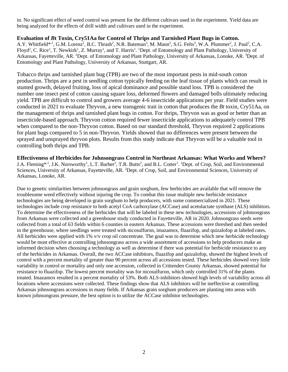in. No significant effect of weed control was present for the different cultivars used in the experiment. Yield data are being analyzed for the effects of drill width and cultivars used in the experiment.

#### **Evaluation of** *B***t Toxin, Cry51Aa for Control of Thrips and Tarnished Plant Bugs in Cotton.**

A.Y. Whitfield\*<sup>,1</sup>, G.M. Lorenz<sup>2</sup>, B.C. Thrash<sup>2</sup>, N.R. Bateman<sup>3</sup>, M. Mann<sup>2</sup>, S.G. Felts<sup>3</sup>, W.A. Plummer<sup>2</sup>, J. Paul<sup>2</sup>, C.A. Floyd<sup>2</sup>, C. Rice<sup>1</sup>, T. Newkirk<sup>1</sup>, Z. Murray<sup>1</sup>, and T. Harris<sup>1</sup>. <sup>1</sup>Dept. of Entomology and Plant Pathology, University of Arkansas, Fayetteville, AR. <sup>2</sup>Dept. of Entomology and Plant Pathology, University of Arkansas, Lonoke, AR. <sup>3</sup>Dept. of Entomology and Plant Pathology, University of Arkansas, Stuttgart, AR.

Tobacco thrips and tarnished plant bug (TPB) are two of the most important pests in mid-south cotton production. Thrips are a pest in seedling cotton typically feeding on the leaf tissue of plants which can result in stunted growth, delayed fruiting, loss of apical dominance and possible stand loss. TPB is considered the number one insect pest of cotton causing square loss, deformed flowers and damaged bolls ultimately reducing yield. TPB are difficult to control and growers average 4-6 insecticide applications per year. Field studies were conducted in 2021 to evaluate Thryvon, a new transgenic trait in cotton that produces the *Bt* toxin, Cry51Aa, on the management of thrips and tarnished plant bugs in cotton. For thrips, Thryvon was as good or better than an insecticide-based approach. Thryvon cotton required fewer insecticide applications to adequately control TPB when compared to the non-Thryvon cotton. Based on our standard threshold, Thryvon required 2 applications for plant bugs compared to 5 in non-Thryvon. Yields showed that no differences were present between the sprayed and unsprayed thryvon plots. Results from this study indicate that Thryvon will be a valuable tool in controlling both thrips and TPB.

**Effectiveness of Herbicides for Johnsongrass Control in Northeast Arkansas: What Works and Where?** J.A. Fleming<sup>\*,1</sup>, J.K. Norsworthy<sup>1</sup>, L.T. Barber<sup>2</sup>, T.R. Butts<sup>2</sup>, and B.L. Cotter<sup>1</sup>. <sup>1</sup>Dept. of Crop, Soil, and Environmental Sciences, University of Arkansas, Fayetteville, AR. <sup>2</sup>Dept. of Crop, Soil, and Environmental Sciences, University of Arkansas, Lonoke, AR.

Due to genetic similarities between johnsongrass and grain sorghum, few herbicides are available that will remove the troublesome weed effectively without injuring the crop. To combat this issue multiple new herbicide resistance technologies are being developed in grain sorghum to help producers, with some commercialized in 2021. These technologies include crop resistance to both acetyl CoA carboxylase (ACCase) and acetolactate synthase (ALS) inhibitors. To determine the effectiveness of the herbicides that will be labeled in these new technologies, accessions of johnsongrass from Arkansas were collected and a greenhouse study conducted in Fayetteville, AR in 2020. Johnsongrass seeds were collected from a total of 63 fields within 6 counties in eastern Arkansas. These accessions were threshed and then seeded in the greenhouse, where seedlings were treated with nicosulfuron, imazamox, fluazifop, and quizalofop at labeled rates. All herbicides were applied with 1% v/v crop oil concentrate. The goal was to determine which new herbicide technology would be most effective at controlling johnsongrass across a wide assortment of accessions to help producers make an informed decision when choosing a technology as well as determine if there was potential for herbicide resistance to any of the herbicides in Arkansas. Overall, the two ACCase inhibitors, fluazifop and quizalofop, showed the highest levels of control with a percent mortality of greater than 90 percent across all accessions tested. These herbicides showed very little variability in control or mortality and only one accession, collected in Crittenden County Arkansas, showed potential for resistance to fluazifop. The lowest percent mortality was for nicosulfuron, which only controlled 31% of the plants treated. Imazamox resulted in a percent mortality of 53%. Both ALS-inhibitors showed high levels of variability across all locations where accessions were collected. These findings show that ALS inhibitors will be ineffective at controlling Arkansas johnsongrass accessions in many fields. If Arkansas grain sorghum producers are planting into areas with known johnsongrass pressure, the best option is to utilize the ACCase inhibitor technologies.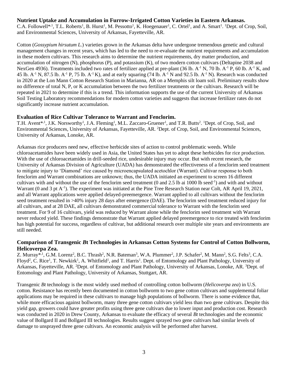#### **Nutrient Uptake and Accumulation in Furrow-Irrigated Cotton Varieties in Eastern Arkansas.**

C.A. Followell<sup>\*,1</sup>, T.L. Roberts<sup>1</sup>, B. Hurst<sup>1</sup>, M. Pessotto<sup>1</sup>, K. Hoegenauer<sup>1</sup>, C. Ortel<sup>1</sup>, and A. Smart<sup>1</sup>. <sup>1</sup>Dept. of Crop, Soil, and Environmental Sciences, University of Arkansas, Fayetteville, AR.

Cotton (*Gossypium hirsutum L.*) varieties grown in the Arkansas delta have undergone tremendous genetic and cultural management changes in recent years, which has led to the need to re-evaluate the nutrient requirements and accumulation in these modern cultivars. This research aims to determine the nutrient requirements, dry matter production, and accumulation of nitrogen (N), phosphorus (P), and potassium (K), of two modern cotton cultivars (Deltapine 2038 and NexGen 4936). Treatments included two rates of fertilizer applied at pre-plant (36 lb. A<sup>-1</sup> N, 70 lb. A<sup>-1</sup> P, 60 lb. A<sup>-1</sup> K, and 45 lb.  $A^{-1}$  N, 87.5 lb.  $A^{-1}$  P, 75 lb.  $A^{-1}$  K), and at early squaring (74 lb.  $A^{-1}$  N and 92.5 lb.  $A^{-1}$  N). Research was conducted in 2020 at the Lon Mann Cotton Research Station in Marianna, AR on a Memphis silt loam soil. Preliminary results show no difference of total N, P, or K accumulation between the two fertilizer treatments or the cultivars. Research will be repeated in 2021 to determine if this is a trend. This information supports the use of the current University of Arkansas Soil Testing Laboratory recommendations for modern cotton varieties and suggests that increase fertilizer rates do not significantly increase nutrient accumulation.

#### **Evaluation of Rice Cultivar Tolerance to Warrant and Fenclorim.**

T.H. Avent<sup>\*, 1</sup>, J.K. Norsworthy<sup>1</sup>, J.A. Fleming<sup>1</sup>, M.L. Zaccaro-Gruener<sup>1</sup>, and T.R. Butts<sup>2</sup>. <sup>1</sup>Dept. of Crop, Soil, and Environmental Sciences, University of Arkansas, Fayetteville, AR. <sup>2</sup>Dept. of Crop, Soil, and Environmental Sciences, University of Arkansas, Lonoke, AR.

Arkansas rice producers need new, effective herbicide sites of action to control problematic weeds. While chloroacetamides have been widely used in Asia, the United States has yet to adopt these herbicides for rice production. With the use of chloroacetamides in drill-seeded rice, undesirable injury may occur. But with recent research, the University of Arkansas Division of Agriculture (UADA) has demonstrated the effectiveness of a fenclorim seed treatment to mitigate injury to 'Diamond' rice caused by microencapsulated acetochlor (Warrant). Cultivar response to both fenclorim and Warrant combinations are unknown; thus, the UADA initiated an experiment to screen 16 different cultivars with and without the use of the fenclorim seed treatment (0 and 2.5 lb ai 1000 lb seed<sup>-1</sup>) and with and without Warrant (0 and 3 pt A<sup>-1</sup>). The experiment was initiated at the Pine Tree Research Station near Colt, AR April 19, 2021, and all Warrant applications were applied delayed-preemergence. Warrant applied to all cultivars without the fenclorim seed treatment resulted in >40% injury 28 days after emergence (DAE). The fenclorim seed treatment reduced injury for all cultivars, and at 28 DAE, all cultivars demonstrated commercial tolerance to Warrant with the fenclorim seed treatment. For 9 of 16 cultivars, yield was reduced by Warrant alone while the fenclorim seed treatment with Warrant never reduced yield. These findings demonstrate that Warrant applied delayed preemergence to rice treated with fenclorim has high potential for success, regardless of cultivar, but additional research over multiple site years and environments are still needed.

#### **Comparison of Transgenic** *B***t Technologies in Arkansas Cotton Systems for Control of Cotton Bollworm, Helicoverpa Zea.**

Z. Murray\*<sup>,1</sup>, G.M. Lorenz<sup>2</sup>, B.C. Thrash<sup>2</sup>, N.R. Bateman<sup>3</sup>, W.A. Plummer<sup>2</sup>, J.P. Schafer<sup>2</sup>, M. Mann<sup>2</sup>, S.G. Felts<sup>3</sup>, C.A. Floyd<sup>2</sup>, C. Rice<sup>1</sup>, T. Newkirk<sup>1</sup>, A. Whitfield<sup>1</sup>, and T. Harris<sup>1</sup>. Dept. of Entomology and Plant Pathology, University of Arkansas, Fayetteville, AR. <sup>2</sup>Dept. of Entomology and Plant Pathology, University of Arkansas, Lonoke, AR. <sup>3</sup>Dept. of Entomology and Plant Pathology, University of Arkansas, Stuttgart, AR.

Transgenic *Bt* technology is the most widely used method of controlling cotton bollworm (*Helicoverpa zea*) in U.S. cotton. Resistance has recently been documented in cotton bollworm to two gene cotton cultivars and supplemental foliar applications may be required in these cultivars to manage high populations of bollworm. There is some evidence that, while more efficacious against bollworm, many three gene cotton cultivars yield less than two gene cultivars. Despite this yield gap, growers could have greater profits using three gene cultivars due to lower input and production cost. Research was conducted in 2020 in Drew County, Arkansas to evaluate the efficacy of several *Bt* technologies and the economic value of Bollgard II and Bollgard III technologies. Results suggest sprayed two gene cultivars had similar levels of damage to unsprayed three gene cultivars. An economic analysis will be performed after harvest.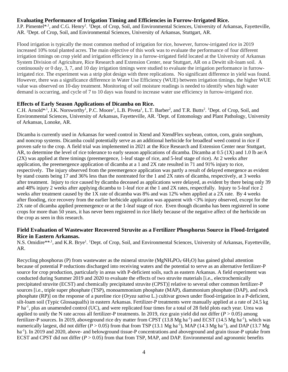#### **Evaluating Performance of Irrigation Timing and Efficiencies in Furrow-Irrigated Rice.**

J.P. Pimentel<sup>\*,1</sup>, and C.G. Henry<sup>2</sup>. <sup>1</sup>Dept. of Crop, Soil, and Environmental Sciences, University of Arkansas, Fayetteville, AR. <sup>2</sup>Dept. of Crop, Soil, and Environmental Sciences, University of Arkansas, Stuttgart, AR.

Flood irrigation is typically the most common method of irrigation for rice, however, furrow-irrigated rice in 2019 increased 10% total planted acres. The main objective of this work was to evaluate the performance of four different irrigation timings on crop yield and irrigation efficiency in a furrow-irrigated field located at the University of Arkansas System Division of Agriculture, Rice Research and Extension Center, near Stuttgart, AR on a Dewitt silt-loam soil. A continuously or 0 day, 3, 7, and 10 day irrigation timings were studied to evaluate the irrigation performance in furrowirrigated rice. The experiment was a strip plot design with three replications. No significant difference in yield was found. However, there was a significance difference in Water Use Efficiency (WUE) between irrigation timings, the higher WUE value was observed on 10-day treatment. Monitoring of soil moisture readings is needed to identify when high water demand is occurring, and cycle of 7 to 10 days was found to increase water use efficiency in furrow-irrigated rice.

#### **Effects of Early Season Applications of Dicamba on Rice.**

C.H. Arnold\*<sup>,1</sup>, J.K. Norsworthy<sup>1</sup>, P.C. Moore<sup>1</sup>, L.B. Piveta<sup>1</sup>, L.T. Barber<sup>2</sup>, and T.R. Butts<sup>2</sup>. <sup>1</sup>Dept. of Crop, Soil, and Environmental Sciences, University of Arkansas, Fayetteville, AR. <sup>2</sup>Dept. of Entomology and Plant Pathology, University of Arkansas, Lonoke, AR.

Dicamba is currently used in Arkansas for weed control in Xtend and XtendFlex soybean, cotton, corn, grain sorghum, and noncrop systems. Dicamba could potentially serve as an additional herbicide for broadleaf weed control in rice if proven safe to the crop. A field trial was implemented in 2021 at the Rice Research and Extension Center near Stuttgart, AR, to determine the level of rice tolerance to early season applications of dicamba. Dicamba at 0.5 (1X) and 1.0 lb ae/A (2X) was applied at three timings (preemergence, 1-leaf stage of rice, and 5-leaf stage of rice). At 2 weeks after application, the preemergence application of dicamba at a 1 and 2X rate resulted in 71 and 91% injury to rice, respectively. The injury observed from the preemergence application was partly a result of delayed emergence as evident by stand counts being 17 and 36% less than the nontreated for the 1 and 2X rates of dicamba, respectively, at 3 weeks after treatment. Injury to rice caused by dicamba deceased as applications were delayed, as evident by there being only 39 and 48% injury 2 weeks after applying dicamba to 1-leaf rice at the 1 and 2X rates, respectfully. Injury to 5-leaf rice 2 weeks after treatment caused by the 1X rate of dicamba was 8% and was 12% when applied at a 2X rate. By 4 weeks after flooding, rice recovery from the earlier herbicide application was apparent with <3% injury observed, except for the 2X rate of dicamba applied preemergence or at the 1-leaf stage of rice. Even though dicamba has been registered in some crops for more than 50 years, it has never been registered in rice likely because of the negative affect of the herbicide on the crop as seen in this research.

#### **Field Evaluation of Wastewater Recovered Struvite as a Fertilizer Phosphorus Source in Flood-Irrigated Rice in Eastern Arkansas.**

N.S. Omidire\*\*<sup>1</sup>, and K.R. Brye<sup>1</sup>. <sup>1</sup>Dept. of Crop, Soil, and Environmental Sciences, University of Arkansas, Fayetteville, AR.

Recycling phosphorus (P) from wastewater as the mineral struvite  $(MgNH_4PO_4.6H_2O)$  has gained global attention because of potential P reductions discharged into receiving waters and the potential to serve as an alternative fertilizer-P source for crop production, particularly in areas with P-deficient soils, such as eastern Arkansas. A field experiment was conducted during Summer 2019 and 2020 to evaluate the effects of two struvite materials [i.e., electrochemically precipitated struvite (ECST) and chemically precipitated struvite (CPST)] relative to several other common fertilizer-P sources [i.e., triple super phosphate (TSP), monoammonium phosphate (MAP), diammonium phosphate (DAP), and rock phosphate (RP)] on the response of a pureline rice (*Oryza sativa* L.) cultivar grown under flood-irrigation in a P-deficient, silt-loam soil (Typic Glossaqualfs) in eastern Arkansas. Fertilizer-P treatments were manually applied at a rate of 24.5 kg P ha<sup>-1</sup>, plus an unamended control (UC), and were replicated four times for a total of 28 field plots each year. Urea was applied to unify the N rate across all fertilizer-P treatments. In 2019, rice grain yield did not differ  $(P > 0.05)$  among fertilizer-P sources. In 2019, aboveground rice dry matter from CPST (13.8 Mg ha<sup>-1</sup>) and ECST (14.5 Mg ha<sup>-1</sup>), which was numerically largest, did not differ  $(P > 0.05)$  from that from TSP (13.1 Mg ha<sup>-1</sup>), MAP (14.3 Mg ha<sup>-1</sup>), and DAP (13.7 Mg ha<sup>-1</sup>). In 2019 and 2020, above- and belowground tissue-P concentrations and aboveground and grain tissue-P uptake from ECST and CPST did not differ  $(P > 0.05)$  from that from TSP, MAP, and DAP. Environmental and agronomic benefits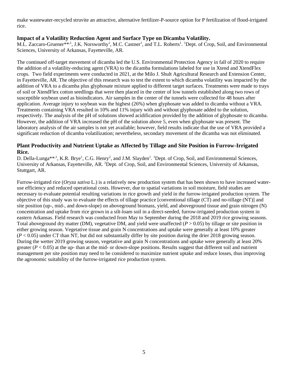make wastewater-recycled struvite an attractive, alternative fertilizer-P-source option for P fertilization of flood-irrigated rice.

#### **Impact of a Volatility Reduction Agent and Surface Type on Dicamba Volatility.**

M.L. Zaccaro-Gruener\*\*,<sup>1</sup>, J.K. Norsworthy<sup>1</sup>, M.C. Castner<sup>1</sup>, and T.L. Roberts<sup>1</sup>. <sup>1</sup>Dept. of Crop, Soil, and Environmental Sciences, University of Arkansas, Fayetteville, AR.

The continued off-target movement of dicamba led the U.S. Environmental Protection Agency in fall of 2020 to require the addition of a volatility-reducing agent (VRA) to the dicamba formulations labeled for use in Xtend and XtendFlex crops. Two field experiments were conducted in 2021, at the Milo J. Shult Agricultural Research and Extension Center, in Fayetteville, AR. The objective of this research was to test the extent to which dicamba volatility was impacted by the addition of VRA to a dicamba plus glyphosate mixture applied to different target surfaces. Treatments were made to trays of soil or XtendFlex cotton seedlings that were then placed in the center of low tunnels established along two rows of susceptible soybean used as bioindicators. Air samples in the center of the tunnels were collected for 48 hours after application. Average injury to soybean was the highest (26%) when glyphosate was added to dicamba without a VRA. Treatments containing VRA resulted in 10% and 11% injury with and without glyphosate added to the solution, respectively. The analysis of the pH of solutions showed acidification provided by the addition of glyphosate to dicamba. However, the addition of VRA increased the pH of the solution above 5, even when glyphosate was present. The laboratory analysis of the air samples is not yet available; however, field results indicate that the use of VRA provided a significant reduction of dicamba volatilization; nevertheless, secondary movement of the dicamba was not eliminated.

#### **Plant Productivity and Nutrient Uptake as Affected by Tillage and Site Position in Furrow-Irrigated Rice.**

D. Della-Lunga\*\*<sup>,1</sup>, K.R. Brye<sup>1</sup>, C.G. Henry<sup>2</sup>, and J.M. Slayden<sup>1</sup>. <sup>1</sup>Dept. of Crop, Soil, and Environmental Sciences, University of Arkansas, Fayetteville, AR. <sup>2</sup>Dept. of Crop, Soil, and Environmental Sciences, University of Arkansas, Stuttgart, AR.

Furrow-irrigated rice (*Oryza sativa* L.) is a relatively new production system that has been shown to have increased wateruse efficiency and reduced operational costs. However, due to spatial variations in soil moisture, field studies are necessary to evaluate potential resulting variations in rice growth and yield in the furrow-irrigated production system. The objective of this study was to evaluate the effects of tillage practice [conventional tillage (CT) and no-tillage (NT)] and site position (up-, mid-, and down-slope) on aboveground biomass, yield, and aboveground tissue and grain nitrogen (N) concentration and uptake from rice grown in a silt-loam soil in a direct-seeded, furrow-irrigated production system in eastern Arkansas. Field research was conducted from May to September during the 2018 and 2019 rice growing seasons. Total aboveground dry matter (DM), vegetative DM, and yield were unaffected  $(P > 0.05)$  by tillage or site position in either growing season. Vegetative tissue and grain N concentrations and uptake were generally at least 10% greater (*P* < 0.05) under CT than NT, but did not substantially differ by site position during the drier 2018 growing season. During the wetter 2019 growing season, vegetative and grain N concentrations and uptake were generally at least 20% greater  $(P < 0.05)$  at the up-than at the mid- or down-slope positions. Results suggest that different soil and nutrient management per site position may need to be considered to maximize nutrient uptake and reduce losses, thus improving the agronomic suitability of the furrow-irrigated rice production system.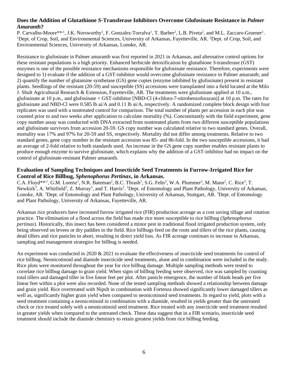#### **Does the Addition of Glutathione** *S***-Transferase Inhibitors Overcome Glufosinate Resistance in** *Palmer Amaranth***?**

P. Carvalho-Moore\*\*<sup>1</sup>, J.K. Norsworthy<sup>1</sup>, F. Gonzalez-Torralva<sup>1</sup>, T. Barber<sup>2</sup>, L.B. Piveta<sup>2</sup>, and M.L. Zaccaro-Gruener<sup>1</sup>. <sup>1</sup>Dept. of Crop, Soil, and Environmental Sciences, University of Arkansas, Fayetteville, AR. <sup>2</sup>Dept. of Crop, Soil, and Environmental Sciences, University of Arkansas, Lonoke, AR.

Resistance to glufosinate in Palmer amaranth was first reported in 2021 in Arkansas, and alternative control options for these resistant populations is a high priority. Enhanced herbicide detoxification by glutathione *S*-transferase (GST) enzymes is one of the possible resistance mechanisms responsible for glufosinate resistance. Therefore, experiments were designed to 1) evaluate if the addition of a GST-inhibitor would overcome glufosinate resistance in Palmer amaranth; and 2) quantify the number of glutamine synthetase (GS) gene copies (enzyme inhibited by glufosinate) present in resistant plants. Seedlings of the resistant (20-59) and susceptible (SS) accessions were transplanted into a field located at the Milo J. Shult Agricultural Research & Extension, Fayetteville, AR. The treatments were glufosinate applied at 10 a.m., glufosinate at 10 p.m., and glufosinate + GST-inhibitor [NBD-Cl (4-chloro-7-nitrobenzofurazan)] at 10 p.m. The rates for glufosinate and NBD-Cl were 0.585 lb ai/A and 0.11 lb ai/A, respectively. A randomized complete block design with four replicates was used with a nontreated control for comparison. The total number of plants per accession in each plot was counted prior to and two weeks after application to calculate mortality (%). Concomitantly with the field experiment, gene copy number assay was conducted with DNA extracted from nontreated plants from two different susceptible populations and glufosinate survivors from accession 20-59. GS copy number was calculated relative to two standard genes. Overall, mortality was 17% and 97% for 20-59 and SS, respectively. Mortality did not differ among treatments. Relative to two standard genes, gene copy number in the resistant accession was 85- and 86-fold. In the two susceptible accessions, it had an average of 2-fold relative to both standards used. An increase in the GS gene copy number enables resistant plants to produce enough enzyme to survive glufosinate, which explains why the addition of a GST-inhibitor had no impact on the control of glufosinate-resistant Palmer amaranth.

#### **Evaluation of Sampling Techniques and Insecticide Seed Treatments in Furrow-Irrigated Rice for Control of Rice Billbug,** *Sphenophorus Pertinax***, in Arkansas.**

C.A. Floyd\*\*,<sup>1</sup>, G.M. Lorenz<sup>1</sup>, N.R. Bateman<sup>2</sup>, B.C. Thrash<sup>1</sup>, S.G. Felts<sup>2</sup>, W.A. Plummer<sup>2</sup>, M. Mann<sup>2</sup>, C. Rice<sup>3</sup>, T. Newkirk<sup>3</sup>, A. Whitfield<sup>3</sup>, Z. Murray<sup>3</sup>, and T. Harris<sup>3</sup>. <sup>1</sup>Dept. of Entomology and Plant Pathology, University of Arkansas, Lonoke, AR. <sup>2</sup>Dept. of Entomology and Plant Pathology, University of Arkansas, Stuttgart, AR. <sup>3</sup>Dept. of Entomology and Plant Pathology, University of Arkansas, Fayetteville, AR.

Arkansas rice producers have increased furrow irrigated rice (FIR) production acreage as a cost saving tillage and rotation practice. The elimination of a flood across the field has made rice more susceptible to rice billbug (*Sphenophorus pertinax*). Historically, this insect has been considered a minor pest in traditional flood irrigated production system, only being observed on levees or dry paddies in the field. Rice billbugs feed on the roots and tillers of the rice plants, causing dead tillers and rice panicles to abort, resulting in direct yield loss. As FIR acreage continues to increase in Arkansas, sampling and management strategies for billbug is needed.

An experiment was conducted in 2020 & 2021 to evaluate the effectiveness of insecticide seed treatments for control of rice billbug. Neonicotinoid and diamide insecticide seed treatments, alone and in combination were included in the study. Rice plots were monitored throughout the year for rice billbug damage. Multiple sampling methods were tested to correlate rice billbug damage to grain yield. When signs of billbug feeding were observed, rice was sampled by counting total tillers and damaged tiller in five linear feet per plot. After panicle emergence, the number of blank heads per five linear feet within a plot were also recorded. None of the tested sampling methods showed a relationship between damage and grain yield. Rice overtreated with NipsIt in combination with Fortenza showed significantly lower damaged tillers as well as, significantly higher grain yield when compared to neonicotinoid seed treatments. In regard to yield, plots with a seed treatment containing a neonicotinoid in combination with a diamide, resulted in yields greater than the untreated check or rice treated solely with a neonicotinoid seed treatment. Rice treated with any insecticide seed treatment resulted in greater yields when compared to the untreated check. These data suggest that in a FIR scenario, insecticide seed treatment should include the diamide chemistry to retain greatest yields from rice billbug feeding.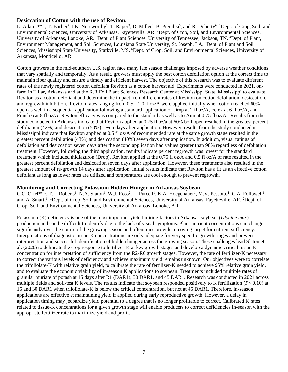#### **Desiccation of Cotton with the use of Reviton.**

L. Adams\*\*<sup>1</sup>, T. Barber<sup>2</sup>, J.K. Norsworthy<sup>1</sup>, T. Raper<sup>3</sup>, D. Miller<sup>4</sup>, B. Pieralisi<sup>5</sup>, and R. Doherty<sup>6</sup>. <sup>1</sup>Dept. of Crop, Soil, and Environmental Sciences, University of Arkansas, Fayetteville, AR. <sup>2</sup>Dept. of Crop, Soil, and Environmental Sciences, University of Arkansas, Lonoke, AR. <sup>3</sup>Dept. of Plant Sciences, University of Tennessee, Jackson, TN. <sup>4</sup>Dept. of Plant, Environment Management, and Soil Sciences, Louisiana State University, St. Joseph, LA. <sup>5</sup>Dept. of Plant and Soil Sciences, Mississippi State University, Starkville, MS. <sup>6</sup>Dept. of Crop, Soil, and Environmental Sciences, University of Arkansas, Monticello, AR.

Cotton growers in the mid-southern U.S. region face many late season challenges imposed by adverse weather conditions that vary spatially and temporally. As a result, growers must apply the best cotton defoliation option at the correct time to maintain fiber quality and ensure a timely and efficient harvest. The objective of this research was to evaluate different rates of the newly registered cotton defoliant Reviton as a cotton harvest aid. Experiments were conducted in 2021, onfarm in Tillar, Arkansas and at the R.R Foil Plant Sciences Research Center at Mississippi State, Mississippi to evaluate Reviton as a cotton defoliant and determine the impact from different rates of Reviton on cotton defoliation, desiccation, and regrowth inhibition. Reviton rates ranging from 0.5 - 1.0 fl oz/A were applied initially when cotton reached 60% open as well in a sequential application following a standard application of Drop at 2 fl oz/A, Folex at 6 fl oz/A, and Finish 6 at 8 fl oz/A. Reviton efficacy was compared to the standard as well as to Aim at 0.75 fl oz/A. Results from the study conducted in Arkansas indicate that Reviton applied at 0.75 fl oz/a at 60% boll open resulted in the greatest percent defoliation (42%) and desiccation (50%) seven days after application. However, results from the study conducted in Mississippi indicate that Reviton applied at 0.5 fl oz/A of recommended rate at the same growth stage resulted in the greatest percent defoliation (43%) and desiccation (40%) seven days after application. In addition, visual ratings of defoliation and desiccation seven days after the second application had values greater than 98% regardless of defoliation treatment. However, following the third application, results indicate percent regrowth was lowest for the standard treatment which included thidiazuron (Drop). Reviton applied at the 0.75 fl oz/A and 0.5 fl oz/A of rate resulted in the greatest percent defoliation and desiccation seven days after application. However, these treatments also resulted in the greatest amount of re-growth 14 days after application. Initial results indicate that Reviton has a fit as an effective cotton defoliant as long as lower rates are utilized and temperatures are cool enough to prevent regrowth.

#### **Monitoring and Correcting Potassium Hidden Hunger in Arkansas Soybean.**

C.C. Ortel\*\*<sup>,1</sup>, T.L. Roberts<sup>1</sup>, N.A. Slaton<sup>1</sup>, W.J. Ross<sup>2</sup>, L. Purcell<sup>1</sup>, K.A. Hoegenauer<sup>1</sup>, M.V. Pessotto<sup>1</sup>, C.A. Followell<sup>1</sup>, and A. Smartt<sup>1</sup>. <sup>1</sup>Dept. of Crop, Soil, and Environmental Sciences, University of Arkansas, Fayetteville, AR. <sup>2</sup>Dept. of Crop, Soil, and Environmental Sciences, University of Arkansas, Lonoke, AR.

Potassium (K) deficiency is one of the most important yield limiting factors in Arkansas soybean (*Glycine max*) production and can be difficult to identify due to the lack of visual symptoms. Plant nutrient concentrations can change significantly over the course of the growing season and oftentimes provide a moving target for nutrient sufficiency. Interpretations of diagnostic tissue-K concentrations are only adequate for very specific growth stages and prevent interpretation and successful identification of hidden hunger across the growing season. These challenges lead Slaton et al. (2020) to delineate the crop response to fertilizer-K at key growth stages and develop a dynamic critical tissue-K concentration for interpretation of sufficiency from the R2-R6 growth stages. However, the rate of fertilizer-K necessary to correct the various levels of deficiency and achieve maximum yield remains unknown. Our objectives were to correlate the trifoliolate-K with relative grain yield, to calibrate the rate of fertilizer-K needed to achieve 95% relative grain yield, and to evaluate the economic viability of in-season K applications to soybean. Treatments included multiple rates of granular muriate of potash at 15 days after R1 (DAR1), 30 DAR1, and 45 DAR1. Research was conducted in 2021 across multiple fields and soil-test K levels. The results indicate that soybean responded positively to K fertilization (*P*< 0.10) at 15 and 30 DAR1 when trifoliolate-K is below the critical concentration, but not at 45 DAR1. Therefore, in-season applications are effective at maintaining yield if applied during early reproductive growth. However, a delay in application timing may jeopardize yield potential to a degree that is no longer profitable to correct. Calibrated K rates related to tissue-K concentrations for a given growth stage will enable producers to correct deficiencies in-season with the appropriate fertilizer rate to maximize yield and profit.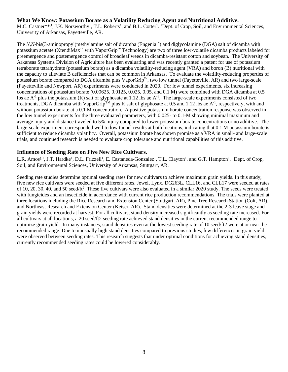#### **What We Know: Potassium Borate as a Volatility Reducing Agent and Nutritional Additive.**

M.C. Castner\*\*<sup>1</sup>, J.K. Norsworthy<sup>1</sup>, T.L. Roberts<sup>1</sup>, and B.L. Cotter<sup>1</sup>. <sup>1</sup>Dept. of Crop, Soil, and Environmental Sciences, University of Arkansas, Fayetteville, AR.

The *N,N*-bis(3-aminopropyl)methylamine salt of dicamba (Engenia™) and diglycolamine (DGA) salt of dicamba with potassium acetate (XtendiMax™ with VaporGrip™ Technology) are two of three low-volatile dicamba products labeled for preemergence and postemergence control of broadleaf weeds in dicamba-resistant cotton and soybean. The University of Arkansas Systems Division of Agriculture has been evaluating and was recently granted a patent for use of potassium tetraborate tetrahydrate (potassium borate) as a dicamba volatility-reducing agent (VRA) and boron (B) nutritional with the capacity to alleviate B deficiencies that can be common in Arkansas. To evaluate the volatility-reducing properties of potassium borate compared to DGA dicamba plus VaporGrip™, two low tunnel (Fayetteville, AR) and two large-scale (Fayetteville and Newport, AR) experiments were conducted in 2020. For low tunnel experiments, six increasing concentrations of potassium borate (0.00625, 0.0125, 0.025, 0.05, and 0.1 M) were combined with DGA dicamba at 0.5 lbs ae  $A^{-1}$  plus the potassium (K) salt of glyphosate at 1.12 lbs ae  $A^{-1}$ . The large-scale experiments consisted of two treatments, DGA dicamba with VaporGrip<sup>TM</sup> plus K salt of glyphosate at 0.5 and 1.12 lbs ae  $A^{-1}$ , respectively, with and without potassium borate at a 0.1 M concentration. A positive potassium borate concentration response was observed in the low tunnel experiments for the three evaluated parameters, with 0.025- to 0.1-M showing minimal maximum and average injury and distance traveled to 5% injury compared to lower potassium borate concentrations or no additive. The large-scale experiment corresponded well to low tunnel results at both locations, indicating that 0.1 M potassium borate is sufficient to reduce dicamba volatility. Overall, potassium borate has shown promise as a VRA in small- and large-scale trials, and continued research is needed to evaluate crop tolerance and nutritional capabilities of this additive.

#### **Influence of Seeding Rate on Five New Rice Cultivars.**

L.R. Amos<sup>‡,1</sup>, J.T. Hardke<sup>1</sup>, D.L. Frizzell<sup>1</sup>, E. Castaneda-Gonzalez<sup>1</sup>, T.L. Clayton<sup>1</sup>, and G.T. Hampton<sup>1</sup>. <sup>1</sup>Dept. of Crop, Soil, and Environmental Sciences, University of Arkansas, Stuttgart, AR.

Seeding rate studies determine optimal seeding rates for new cultivars to achieve maximum grain yields. In this study, five new rice cultivars were seeded at five different rates. Jewel, Lynx, DG263L, CLL16, and CLL17 were seeded at rates of 10, 20, 30, 40, and 50 seed/ft<sup>2</sup>. These five cultivars were also evaluated in a similar 2020 study. The seeds were treated with fungicides and an insecticide in accordance with current rice production recommendations. The trials were planted at three locations including the Rice Research and Extension Center (Stuttgart, AR), Pine Tree Research Station (Colt, AR), and Northeast Research and Extension Center (Keiser, AR). Stand densities were determined at the 2-3 leave stage and grain yields were recorded at harvest. For all cultivars, stand density increased significantly as seeding rate increased. For all cultivars at all locations, a 20 seed/ft2 seeding rate achieved stand densities in the current recommended range to optimize grain yield. In many instances, stand densities even at the lowest seeding rate of 10 seed/ft2 were at or near the recommended range. Due to unusually high stand densities compared to previous studies, few differences in grain yield were observed between seeding rates. This research suggests that under optimal conditions for achieving stand densities, currently recommended seeding rates could be lowered considerably.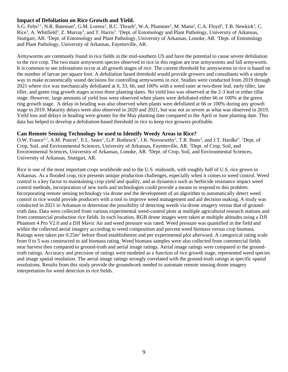#### **Impact of Defoliation on Rice Growth and Yield.**

S.G. Felts<sup>‡,1</sup>, N.R. Bateman<sup>1</sup>, G.M. Lorenz<sup>2</sup>, B.C. Thrash<sup>2</sup>, W.A. Plummer<sup>2</sup>, M. Mann<sup>2</sup>, C.A. Floyd<sup>2</sup>, T.B. Newkirk<sup>3</sup>, C. Rice<sup>3</sup>, A. Whitfield<sup>3</sup>, Z. Murray<sup>3</sup>, and T. Harris<sup>3</sup>. <sup>1</sup>Dept. of Entomology and Plant Pathology, University of Arkansas, Stuttgart, AR. <sup>2</sup>Dept. of Entomology and Plant Pathology, University of Arkansas, Lonoke, AR. <sup>3</sup>Dept. of Entomology and Plant Pathology, University of Arkansas, Fayetteville, AR.

Armyworms are commonly found in rice fields in the mid-southern US and have the potential to cause severe defoliation to the rice crop. The two main armyworm species observed in rice in this region are true armyworms and fall armyworm. It is common to see infestations occur at all growth stages of rice. The current threshold for armyworms in rice is based on the number of larvae per square foot. A defoliation based threshold would provide growers and consultants with a simple way to make economically sound decisions for controlling armyworms in rice. Studies were conducted from 2019 through 2021 where rice was mechanically defoliated at 0, 33, 66, and 100% with a weed eater at two-three leaf, early tiller, late tiller, and green ring growth stages across three planting dates. No yield loss was observed at the 2-3 leaf or either tillar stage. However, large amounts of yield loss were observed when plants were defoliated either 66 or 100% at the green ring growth stage. A delay in heading was also observed when plants were defoliated at 66 or 100% during any growth stage in 2019. Maturity delays were also observed in 2020 and 2021, but was not as severe as what was observed in 2019. Yield loss and delays in heading were greater for the May planting date compared to the April or June planting date. This data has helped to develop a defoliation-based threshold in rice to keep rice growers profitable.

#### **Can Remote Sensing Technology be used to Identify Weedy Areas in Rice?**

O.W. France<sup>‡, 1</sup>, A.M. Poncet<sup>1</sup>, E.L. Sears<sup>1</sup>, G.P. Rothrock<sup>1</sup>, J.K. Norsworthy<sup>1</sup>, T.R. Butts<sup>2</sup>, and J.T. Hardke<sup>3</sup>. <sup>1</sup>Dept. of Crop, Soil, and Environmental Sciences, University of Arkansas, Fayetteville, AR. <sup>2</sup>Dept. of Crop, Soil, and Environmental Sciences, University of Arkansas, Lonoke, AR. <sup>3</sup>Dept. of Crop, Soil, and Environmental Sciences, University of Arkansas, Stuttgart, AR.

Rice is one of the most important crops worldwide and to the U.S. midsouth, with roughly half of U.S. rice grown in Arkansas. As a flooded crop, rice presents unique production challenges, especially when it comes to weed control. Weed control is a key factor to maintaining crop yield and quality, and as dynamics such as herbicide resistance impact weed control methods, incorporation of new tools and technologies could provide a means to respond to this problem. Incorporating remote sensing technology via drone and the development of an algorithm to automatically detect weed control in rice would provide producers with a tool to improve weed management and aid decision making. A study was conducted in 2021 in Arkansas to determine the possibility of detecting weeds via drone imagery versus that of groundtruth data. Data were collected from various experimental weed-control plots at multiple agricultural research stations and from commercial production rice fields. In each location, RGB drone images were taken at multiple altitudes using a DJI Phantom 4 Pro V2.0 and a DJI Mavic Air and weed pressure was rated. Weed pressure was quantified in the field and within the collected aerial imagery according to weed composition and percent weed biomass versus crop biomass. Ratings were taken per 0.25m<sup>2</sup> before flood establishment and per experimental plot afterward. A categorical rating scale from 0 to 5 was constructed to aid biomass rating. Weed biomass samples were also collected from commercial fields near harvest then compared to ground-truth and aerial image ratings. Aerial image ratings were compared to the groundtruth ratings. Accuracy and precision of ratings were modeled as a function of rice growth stage, represented weed species and image spatial resolution. The aerial image ratings strongly correlated with the ground-truth ratings at specific spatial resolutions. Results from this study provide the groundwork needed to automate remote sensing drone imagery interpretation for weed detection in rice fields.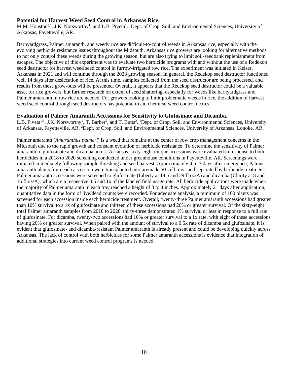#### **Potential for Harvest Weed Seed Control in Arkansas Rice.**

M.M. Houston<sup>‡, 1</sup>, J.K. Norsworthy<sup>1</sup>, and L.B. Piveta<sup>1</sup>. <sup>1</sup>Dept. of Crop, Soil, and Environmental Sciences, University of Arkansas, Fayetteville, AR.

Barnyardgrass, Palmer amaranth, and weedy rice are difficult-to-control weeds in Arkansas rice, especially with the evolving herbicide resistance issues throughout the Midsouth. Arkansas rice growers are looking for alternative methods to not only control these weeds during the growing season, but are also trying to limit soil-seedbank replenishment from escapes. The objective of this experiment was to evaluate two herbicide programs with and without the use of a Redekop seed destructor for harvest weed seed control in furrow-irrigated row rice. The experiment was initiated in Keiser, Arkansas in 2021 and will continue through the 2023 growing season. In general, the Redekop seed destructor functioned well 14 days after desiccation of rice. At this time, samples collected from the seed destructor are being processed, and results from these grow-outs will be presented. Overall, it appears that the Redekop seed destructor could be a valuable asset for rice growers, but further research on extent of seed shattering, especially for weeds like barnyardgrass and Palmer amaranth in row rice are needed. For growers looking to limit problematic weeds in rice, the addition of harvest weed seed control through seed destructors has potential to aid chemical weed control tactics.

#### **Evaluation of Palmer Amaranth Accessions for Sensitivity to Glufosinate and Dicamba.**

L.B. Piveta<sup>‡,1</sup>, J.K. Norsworthy<sup>1</sup>, T. Barber<sup>2</sup>, and T. Butts<sup>2</sup>. <sup>1</sup>Dept. of Crop, Soil, and Environmental Sciences, University of Arkansas, Fayetteville, AR. <sup>2</sup>Dept. of Crop, Soil, and Environmental Sciences, University of Arkansas, Lonoke, AR.

Palmer amaranth (*Amaranthus palmeri*) is a weed that remains at the center of row crop management concerns in the Midsouth due to the rapid growth and constant evolution of herbicide resistance. To determine the sensitivity of Palmer amaranth to glufosinate and dicamba across Arkansas, sixty-eight unique accessions were evaluated in response to both herbicides in a 2018 to 2020 screening conducted under greenhouse conditions in Fayetteville, AR. Screenings were initiated immediately following sample threshing and seed harvest. Approximately 4 to 7 days after emergence, Palmer amaranth plants from each accession were transplanted into premade 50-cell trays and separated by herbicide treatment. Palmer amaranth accessions were screened to glufosinate (Liberty at 14.5 and 29 fl oz/A) and dicamba (Clarity at 8 and 16 fl oz/A), which are a respective 0.5 and 1x of the labeled field usage rate. All herbicide applications were made when the majority of Palmer amaranth in each tray reached a height of 3 to 4 inches. Approximately 21 days after application, quantitative data in the form of live/dead counts were recorded. For adequate analysis, a minimum of 100 plants was screened for each accession inside each herbicide treatment. Overall, twenty-three Palmer amaranth accessions had greater than 10% survival to a 1x of glufosinate and thirteen of these accessions had 20% or greater survival. Of the sixty-eight total Palmer amaranth samples from 2018 to 2020, thirty-three demonstrated 1% survival or less in response to a full rate of glufosinate. For dicamba, twenty-two accessions had 10% or greater survival to a 1x rate, with eight of these accessions having 20% or greater survival. When paired with the amount of survival to a 0.5x rate of dicamba and glufosinate, it is evident that glufosinate- and dicamba-resistant Palmer amaranth is already present and could be developing quickly across Arkansas. The lack of control with both herbicides for some Palmer amaranth accessions is evidence that integration of additional strategies into current weed control programs is needed.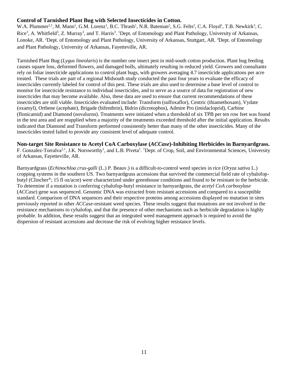#### **Control of Tarnished Plant Bug with Selected Insecticides in Cotton.**

W.A. Plummer<sup>‡, 1</sup>, M. Mann<sup>1</sup>, G.M. Lorenz<sup>1</sup>, B.C. Thrash<sup>1</sup>, N.R. Bateman<sup>2</sup>, S.G. Felts<sup>2</sup>, C.A. Floyd<sup>1</sup>, T.B. Newkirk<sup>3</sup>, C. Rice<sup>3</sup>, A. Whitfield<sup>3</sup>, Z. Murray<sup>3</sup>, and T. Harris<sup>3</sup>. <sup>1</sup>Dept. of Entomology and Plant Pathology, University of Arkansas, Lonoke, AR. <sup>2</sup>Dept. of Entomology and Plant Pathology, University of Arkansas, Stuttgart, AR. <sup>3</sup>Dept. of Entomology and Plant Pathology, University of Arkansas, Fayetteville, AR.

Tarnished Plant Bug (*Lygus lineolaris*) is the number one insect pest in mid-south cotton production. Plant bug feeding causes square loss, deformed flowers, and damaged bolls, ultimately resulting in reduced yield. Growers and consultants rely on foliar insecticide applications to control plant bugs, with growers averaging 4.7 insecticide applications per acre treated. These trials are part of a regional Midsouth study conducted the past four years to evaluate the efficacy of insecticides currently labeled for control of this pest. These trials are also used to determine a base level of control to monitor for insecticide resistance to individual insecticides, and to serve as a source of data for registration of new insecticides that may become available. Also, these data are used to ensure that current recommendations of these insecticides are still viable. Insecticides evaluated include: Transform (sulfoxaflor), Centric (thiamethoxam), Vydate (oxamyl), Orthene (acephate), Brigade (bifenthrin), Bidrin (dicrotophos), Admire Pro (imidacloprid), Carbine (flonicamid) and Diamond (novaluron). Treatments were initiated when a threshold of six TPB per ten row feet was found in the test area and are reapplied when a majority of the treatments exceeded threshold after the initial application. Results indicated that Diamond and Transform performed consistently better than many of the other insecticides. Many of the insecticides tested failed to provide any consistent level of adequate control.

#### **Non-target Site Resistance to Acetyl CoA Carboxylase (***ACCase***)-Inhibiting Herbicides in Barnyardgrass.**

F. Gonzalez-Torralva<sup>‡, 1</sup>, J.K. Norsworthy<sup>1</sup>, and L.B. Piveta<sup>1</sup>. <sup>1</sup>Dept. of Crop, Soil, and Environmental Sciences, University of Arkansas, Fayetteville, AR.

Barnyardgrass (*Echinochloa crus-galli* (L.) P. Beauv.) is a difficult-to-control weed species in rice (*Oryza sativa* L.) cropping systems in the southern US. Two barnyardgrass accessions that survived the commercial field rate of cyhalofopbutyl (Clincher®; 15 fl oz/acre) were characterized under greenhouse conditions and found to be resistant to the herbicide. To determine if a mutation is conferring cyhalofop-butyl resistance in barnyardgrass, the *acetyl CoA carboxylase* (*ACCase*) gene was sequenced. Genomic DNA was extracted from resistant accessions and compared to a susceptible standard. Comparison of DNA sequences and their respective proteins among accessions displayed no mutation in sites previously reported in other *ACCase*-resistant weed species. These results suggest that mutations are not involved in the resistance mechanisms to cyhalofop, and that the presence of other mechanisms such as herbicide degradation is highly probable. In addition, these results suggest that an integrated weed management approach is required to avoid the dispersion of resistant accessions and decrease the risk of evolving higher resistance levels.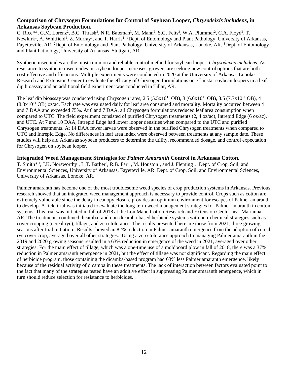#### **Comparison of Chrysogen Formulations for Control of Soybean Looper,** *Chrysodeixis includens***, in Arkansas Soybean Production.**

C. Rice<sup>\*,1</sup>, G.M. Lorenz<sup>2</sup>, B.C. Thrash<sup>2</sup>, N.R. Bateman<sup>3</sup>, M. Mann<sup>2</sup>, S.G. Felts<sup>3</sup>, W.A. Plummer<sup>2</sup>, C.A. Floyd<sup>2</sup>, T. Newkirk<sup>1</sup>, A. Whitfield<sup>1</sup>, Z. Murray<sup>1</sup>, and T. Harris<sup>1</sup>. <sup>1</sup>Dept. of Entomology and Plant Pathology, University of Arkansas, Fayetteville, AR. <sup>2</sup>Dept. of Entomology and Plant Pathology, University of Arkansas, Lonoke, AR. <sup>3</sup>Dept. of Entomology and Plant Pathology, University of Arkansas, Stuttgart, AR.

Synthetic insecticides are the most common and reliable control method for soybean looper, *Chrysodeixis includens*. As resistance to synthetic insecticides in soybean looper increases, growers are seeking new control options that are both cost-effective and efficacious. Multiple experiments were conducted in 2020 at the University of Arkansas Lonoke Research and Extension Center to evaluate the efficacy of Chrysogen formulations on  $3<sup>rd</sup>$  instar soybean loopers in a leaf dip bioassay and an additional field experiment was conducted in Tillar, AR.

The leaf dip bioassay was conducted using Chrysogen rates,  $2.5$  ( $5.5x10^{11}$  OB),  $3$  ( $6.6x10^{11}$  OB),  $3.5$  ( $7.7x10^{11}$  OB),  $4$  $(8.8x10^{11}$  OB) oz/ac. Each rate was evaluated daily for leaf area consumed and mortality. Mortality occurred between 4 and 7 DAA and exceeded 75%. At 6 and 7 DAA, all Chrysogen formulations reduced leaf area consumption when compared to UTC. The field experiment consisted of purified Chrysogen treatments (2, 4 oz/ac), Intrepid Edge (6 oz/ac), and UTC. At 7 and 10 DAA, Intrepid Edge had lower looper densities when compared to the UTC and purified Chrysogen treatments. At 14 DAA fewer larvae were observed in the purified Chrysogen treatments when compared to UTC and Intrepid Edge. No differences in leaf area index were observed between treatments at any sample date. These studies will help aid Arkansas soybean producers to determine the utility, recommended dosage, and control expectation for Chrysogen on soybean looper.

#### **Integraded Weed Management Strategies for** *Palmer Amaranth* **Control in Arkansas Cotton.**

T. Smith\*<sup>1</sup>, J.K. Norsworthy<sup>1</sup>, L.T. Barber<sup>2</sup>, R.B. Farr<sup>1</sup>, M. Houston<sup>1</sup>, and J. Fleming<sup>1</sup>. <sup>1</sup>Dept. of Crop, Soil, and Environmental Sciences, University of Arkansas, Fayetteville, AR. Dept. of Crop, Soil, and Environmental Sciences, University of Arkansas, Lonoke, AR.

Palmer amaranth has become one of the most troublesome weed species of crop production systems in Arkansas. Previous research showed that an integrated weed management approach is necessary to provide control. Crops such as cotton are extremely vulnerable since the delay in canopy closure provides an optimum environment for escapes of Palmer amaranth to develop. A field trial was initiated to evaluate the long-term weed management strategies for Palmer amaranth in cotton systems. This trial was initiated in fall of 2018 at the Lon Mann Cotton Research and Extension Center near Marianna, AR. The treatments combined dicamba- and non-dicamba-based herbicide systems with non-chemical strategies such as cover cropping (cereal rye), tillage, and zero-tolerance. The results presented here are those from 2021, three growing seasons after trial initiation. Results showed an 82% reduction in Palmer amaranth emergence from the adoption of cereal rye cover crop, averaged over all other strategies. Using a zero-tolerance approach to managing Palmer amaranth in the 2019 and 2020 growing seasons resulted in a 63% reduction in emergence of the weed in 2021, averaged over other strategies. For the main effect of tillage, which was a one-time use of a moldboard plow in fall of 2018, there was a 37% reduction in Palmer amaranth emergence in 2021, but the effect of tillage was not significant. Regarding the main effect of herbicide program, those containing the dicamba-based program had 63% less Palmer amaranth emergence, likely because of the residual activity of dicamba in these treatments. The lack of interaction between factors evaluated point to the fact that many of the strategies tested have an additive effect in suppressing Palmer amaranth emergence, which in turn should reduce selection for resistance to herbicides.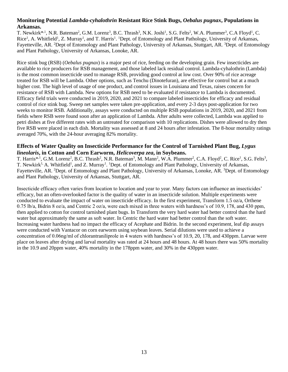#### **Monitoring Potential** *Lambda-cyhalothrin* **Resistant Rice Stink Bugs,** *Oebalus pugnax***, Populations in Arkansas.**

T. Newkirk\*<sup>,1</sup>, N.R. Bateman<sup>2</sup>, G.M. Lorenz<sup>3</sup>, B.C. Thrash<sup>3</sup>, N.K. Joshi<sup>1</sup>, S.G. Felts<sup>2</sup>, W.A. Plummer<sup>3</sup>, C.A Floyd<sup>1</sup>, C. Rice<sup>1</sup>, A. Whitfield<sup>1</sup>, Z. Murray<sup>1</sup>, and T. Harris<sup>1</sup>. <sup>1</sup>Dept. of Entomology and Plant Pathology, University of Arkansas, Fayetteville, AR. <sup>2</sup>Dept of Entomology and Plant Pathology, University of Arkansas, Stuttgart, AR. <sup>3</sup>Dept. of Entomology and Plant Pathology, University of Arkansas, Lonoke, AR.

Rice stink bug (RSB) (*Oebalus pugnax*) is a major pest of rice, feeding on the developing grain. Few insecticides are available to rice producers for RSB management, and those labeled lack residual control. Lambda-cyhalothrin (Lambda) is the most common insecticide used to manage RSB, providing good control at low cost. Over 90% of rice acreage treated for RSB will be Lambda. Other options, such as Tenchu (Dinotefuran), are effective for control but at a much higher cost. The high level of usage of one product, and control issues in Louisiana and Texas, raises concern for resistance of RSB with Lambda. New options for RSB need to be evaluated if resistance to Lambda is documented. Efficacy field trials were conducted in 2019, 2020, and 2021 to compare labeled insecticides for efficacy and residual control of rice stink bug. Sweep net samples were taken pre-application, and every 2-3 days post-application for two weeks to monitor RSB. Additionally, assays were conducted on multiple RSB populations in 2019, 2020, and 2021 from fields where RSB were found soon after an application of Lambda. After adults were collected, Lambda was applied to petri dishes at five different rates with an untreated for comparison with 10 replications. Dishes were allowed to dry then five RSB were placed in each dish. Mortality was assessed at 8 and 24 hours after infestation. The 8-hour mortality ratings averaged 70%, with the 24-hour averaging 82% mortality.

#### **Effects of Water Quality on Insecticide Performance for the Control of Tarnished Plant Bug,** *Lygus lineolaris***, in Cotton and Corn Earworm,** *Helicoverpa zea***, in Soybeans.**

T. Harris\*<sup>,1</sup>, G.M. Lorenz<sup>2</sup>, B.C. Thrash<sup>2</sup>, N.R. Bateman<sup>3</sup>, M. Mann<sup>2</sup>, W.A. Plummer<sup>2</sup>, C.A. Floyd<sup>2</sup>, C. Rice<sup>1</sup>, S.G. Felts<sup>3</sup>, T. Newkirk<sup>1,</sup> A. Whitfield<sup>1</sup>, and Z. Murray<sup>1</sup>. <sup>1</sup>Dept. of Entomology and Plant Pathology, University of Arkansas, Fayetteville, AR. <sup>2</sup>Dept. of Entomology and Plant Pathology, University of Arkansas, Lonoke, AR. <sup>3</sup>Dept. of Entomology and Plant Pathology, University of Arkansas, Stuttgart, AR.

Insecticide efficacy often varies from location to location and year to year. Many factors can influence an insecticides' efficacy, but an often-overlooked factor is the quality of water in an insecticide solution. Multiple experiments were conducted to evaluate the impact of water on insecticide efficacy. In the first experiment, Transform 1.5 oz/a, Orthene 0.75 lb/a, Bidrin 8 oz/a, and Centric 2 oz/a, were each mixed in three waters with hardness's of 10.9, 178, and 430 ppm, then applied to cotton for control tarnished plant bugs. In Transform the very hard water had better control than the hard water but approximately the same as soft water. In Centric the hard water had better control than the soft water. Increasing water hardness had no impact the efficacy of Acephate and Bidrin. In the second experiment, leaf dip assays were conducted with Vantacor on corn earworm using soybean leaves. Serial dilutions were used to achieve a concentration of 0.06ng/ml of chlorantraniliprole in 4 waters with hardness's of 10.9, 20, 178, and 430ppm. Larvae were place on leaves after drying and larval mortality was rated at 24 hours and 48 hours. At 48 hours there was 50% mortality in the 10.9 and 20ppm water, 40% mortality in the 178ppm water, and 30% in the 430ppm water.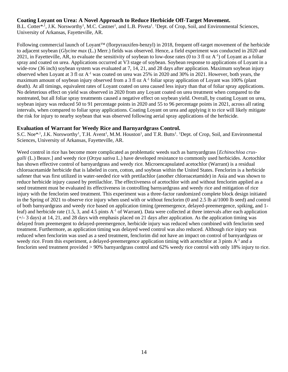#### **Coating Loyant on Urea: A Novel Approach to Reduce Herbicide Off-Target Movement.**

B.L. Cotter<sup>\*, 1</sup>, J.K. Norsworthy<sup>1</sup>, M.C. Castner<sup>1</sup>, and L.B. Piveta<sup>1</sup>. <sup>1</sup>Dept. of Crop, Soil, and Environmental Sciences, University of Arkansas, Fayetteville, AR.

Following commercial launch of Loyant<sup>TM</sup> (florpyrauxifen-benzyl) in 2018, frequent off-target movement of the herbicide to adjacent soybean (*Glycine max* (L.) Merr.) fields was observed. Hence, a field experiment was conducted in 2020 and 2021, in Fayetteville, AR, to evaluate the sensitivity of soybean to low-dose rates (0 to 3 fl oz  $A^{-1}$ ) of Loyant as a foliar spray and coated on urea. Applications occurred at V3 stage of soybean. Soybean response to applications of Loyant in a wide-row (36 inch) soybean system was evaluated at 7, 14, 21, and 28 days after application. Maximum soybean injury observed when Loyant at 3 fl oz  $A^{-1}$  was coated on urea was 25% in 2020 and 30% in 2021. However, both years, the maximum amount of soybean injury observed from a 3 fl oz  $A^{-1}$  foliar spray application of Loyant was 100% (plant death). At all timings, equivalent rates of Loyant coated on urea caused less injury than that of foliar spray applications. No deleterious effect on yield was observed in 2020 from any Loyant coated on urea treatment when compared to the nontreated, but all foliar spray treatments caused a negative effect on soybean yield. Overall, by coating Loyant on urea, soybean injury was reduced 50 to 91 percentage points in 2020 and 55 to 96 percentage points in 2021, across all rating intervals, when compared to foliar spray applications. Coating Loyant on urea and applying it to rice will likely mitigate the risk for injury to nearby soybean that was observed following aerial spray applications of the herbicide.

#### **Evaluation of Warrant for Weedy Rice and Barnyardgrass Control.**

S.C. Noe<sup>\*,1</sup>, J.K. Norsworthy<sup>1</sup>, T.H. Avent<sup>1</sup>, M.M. Houston<sup>1</sup>, and T.R. Butts<sup>1</sup>. <sup>1</sup>Dept. of Crop, Soil, and Environmental Sciences, University of Arkansas, Fayetteville, AR.

Weed control in rice has become more complicated as problematic weeds such as barnyardgrass [*Echinochloa crusgalli* (L.) Beauv.] and weedy rice (*Orzya sativa* L.) have developed resistance to commonly used herbicides. Acetochlor has shown effective control of barnyardgrass and weedy rice. Microencapsulated acetochlor (Warrant) is a residual chloroacetamide herbicide that is labeled in corn, cotton, and soybean within the United States. Fenclorim is a herbicide safener that was first utilized in water-seeded rice with pretilachlor (another chloroacetamide) in Asia and was shown to reduce herbicide injury caused by pretilachlor. The effectiveness of acetochlor with and without fenclorim applied as a seed treatment must be evaluated its effectiveness in controlling barnyardgrass and weedy rice and mitigation of rice injury with the fenclorim seed treatment. This experiment was a three-factor randomized complete block design initiated in the Spring of 2021 to observe rice injury when used with or without fenclorim (0 and 2.5 lb ai/1000 lb seed) and control of both barnyardgrass and weedy rice based on application timing (preemergence, delayed-preemergence, spiking, and 1 leaf) and herbicide rate (1.5, 3, and 4.5 pints A-1 of Warrant). Data were collected at three intervals after each application  $(+)$  3 days) at 14, 21, and 28 days with emphasis placed on 21 days after application. As the application timing was delayed from preemergent to delayed-preemergence, herbicide injury was reduced when combined with fenclorim seed treatment. Furthermore, as application timing was delayed weed control was also reduced. Although rice injury was reduced when fenclorim was used as a seed treatment, fenclorim did not have an impact on control of barnyardgrass or weedy rice. From this experiment, a delayed-preemergence application timing with acetochlor at 3 pints  $A^{-1}$  and a fenclorim seed treatment provided > 90% barnyardgrass control and 62% weedy rice control with only 18% injury to rice.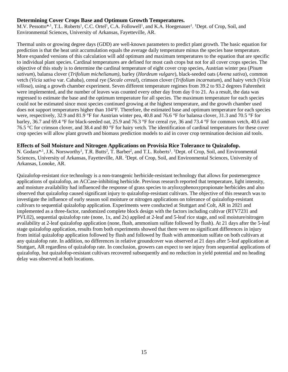#### **Determining Cover Crops Base and Optimum Growth Temperatures.**

M.V. Pessotto<sup>\*,1</sup>, T.L. Roberts<sup>1</sup>, C.C. Ortel<sup>1</sup>, C.A. Followell<sup>1</sup>, and K.A. Hoegenauer<sup>1</sup>. <sup>1</sup>Dept. of Crop, Soil, and Environmental Sciences, University of Arkansas, Fayetteville, AR.

Thermal units or growing degree days (GDD) are well-known parameters to predict plant growth. The basic equation for prediction is that the heat unit accumulation equals the average daily temperature minus the species base temperature. More expanded versions of this calculation will add optimum and maximum temperatures to the equation that are specific to individual plant species. Cardinal temperatures are defined for most cash crops but not for all cover crops species. The objective of this study is to determine the cardinal temperature of eight cover crop species, Austrian winter pea (*Pisum sativum*), balansa clover (*Trifolium michelianum),* barley (*Hordeum vulgare*), black-seeded oats (*Avena sativa*), common vetch (*Vicia sativa* var. Cahaba), cereal rye (*Secale cereal*), crimson clover (*Trifolium incarnatum*), and hairy vetch (*Vicia villosa*), using a growth chamber experiment. Seven different temperature regimes from 39.2 to 93.2 degrees Fahrenheit were implemented, and the number of leaves was counted every other day from day 0 to 21. As a result, the data was regressed to estimate the base and the optimum temperature for all species. The maximum temperature for each species could not be estimated since most species continued growing at the highest temperature, and the growth chamber used does not support temperatures higher than 104°F. Therefore, the estimated base and optimum temperature for each species were, respectively, 32.9 and 81.9 °F for Austrian winter pea, 40.8 and 76.6 °F for balansa clover, 31.3 and 70.5 °F for barley, 36.7 and 69.4 °F for black-seeded oat, 25.9 and 76.3 °F for cereal rye, 36 and 73.4 °F for common vetch, 40.6 and 76.5 °C for crimson clover, and 38.4 and 80 °F for hairy vetch. The identification of cardinal temperatures for these cover crop species will allow plant growth and biomass prediction models to aid in cover crop termination decision aid tools.

#### **Effects of Soil Moisture and Nitrogen Applications on Provisia Rice Tolerance to Quizalofop.**

N. Godara<sup>\*, 1</sup>, J.K. Norsworthy<sup>1</sup>, T.R. Butts<sup>2</sup>, T. Barber<sup>2</sup>, and T.L. Roberts<sup>1</sup>. <sup>1</sup>Dept. of Crop, Soil, and Environmental Sciences, University of Arkansas, Fayetteville, AR. <sup>2</sup>Dept. of Crop, Soil, and Environmental Sciences, University of Arkansas, Lonoke, AR.

Quizalofop-resistant rice technology is a non-transgenic herbicide-resistant technology that allows for postemergence applications of quizalofop, an ACCase-inhibiting herbicide. Previous research reported that temperature, light intensity, and moisture availability had influenced the response of grass species to aryloxyphenoxypropionate herbicides and also observed that quizalofop caused significant injury to quizalofop-resistant cultivars. The objective of this research was to investigate the influence of early season soil moisture or nitrogen applications on tolerance of quizalofop-resistant cultivars to sequential quizalofop application. Experiments were conducted at Stuttgart and Colt, AR in 2021 and implemented as a three-factor, randomized complete block design with the factors including cultivar (RTV7231 and PVL02), sequential quizalofop rate (none, 1x, and 2x) applied at 2-leaf and 5-leaf rice stage, and soil moisture/nitrogen availability at 2-leaf quizalofop application (none, flush, ammonium sulfate followed by flush). At 21 days after the 5-leaf stage quizalofop application, results from both experiments showed that there were no significant differences in injury from initial quizalofop application followed by flush and followed by flush with ammonium sulfate on both cultivars at any quizalofop rate. In addition, no differences in relative groundcover was observed at 21 days after 5-leaf application at Stuttgart, AR regardless of quizalofop rate. In conclusion, growers can expect to see injury from sequential applications of quizalofop, but quizalofop-resistant cultivars recovered subsequently and no reduction in yield potential and no heading delay was observed at both locations.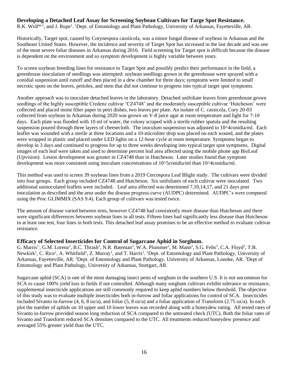#### **Developing a Detached Leaf Assay for Screening Soybean Cultivars for Targe Spot Resistance.**

R.K. Wolf<sup>\*,1</sup>, and J. Rupe<sup>1</sup>. <sup>1</sup>Dept. of Entomology and Plant Pathology, University of Arkansas, Fayetteville, AR.

Historically, Target spot, caused by Corynespora cassiicola, was a minor fungal disease of soybean in Arkansas and the Southeast United States. However, the incidence and severity of Target Spot has increased in the last decade and was one of the most severe foliar diseases in Arkansas during 2016. Field screening for Target spot is difficult because the disease is dependent on the environment and so symptom development is highly variable between years.

To screen soybean breeding lines for resistance to Target Spot and possibly predict their performance in the field, a greenhouse inoculation of seedlings was attempted: soybean seedlings grown in the greenhouse were sprayed with a conidial suspension until runoff and then placed in a dew chamber for three days; symptoms were limited to small necrotic spots on the leaves, petioles, and stem that did not continue to progress into typical target spot symptoms.

Another approach was to inoculate detached leaves in the laboratory. Detached unifoliate leaves from greenhouse grown seedlings of the highly susceptible Credenz cultivar 'CZ4748' and the moderately susceptible cultivar 'Hutcheson' were collected and placed moist filter paper in petri dishes, two leaves per plate. An isolate of C. cassicola, Cory 20-03 collected from soybean in Arkansas during 2020 was grown on V-8 juice agar at room temperature and light for 7-10 days. Each plate was flooded with 10 ml of water, the colony scraped with a sterile rubber spatula and the resulting suspension poured through three layers of cheesecloth. The inoculum suspension was adjusted to 10^4conidia/ml. Each leaflet was wounded with a sterile at three locations and a 10-microliter drop was placed on each wound, and the plates were wrapped in plastic and placed under LED lights on a 12-hour cycle at room temperature. Symptoms began to develop in 3 days and continued to progress for up to three weeks developing into typical target spot symptoms. Digital images of each leaf were taken and used to determine percent leaf area affected using the mobile phone app BioLeaf (Upvision). Lesion development was greater in CZ4748 than in Hutcheson. Later studies found that symptom development was more consistent using inoculum concentrations of 10^5conidia/ml than 10^4conidia/ml.

This method was used to screen 39 soybean lines from a 2019 Cercospora Leaf Blight study. The cultivars were divided into four groups. Each group included CZ4748 and Hutcheson. Six unifoliates of each cultivar were inoculated. Two additional uninoculated leaflets were included. Leaf area affected was determined 7,10,14,17, and 21 days post inoculation as described and the area under the disease progress curve (AUDPC) determined. AUDPC's were compared using the Proc GLIMMIX (SAS 9.4). Each group of cultivars was tested twice.

The amount of disease varied between tests, however CZ4748 had consistently more disease than Hutcheson and there were significant differences between soybean lines in all tests. Fifteen lines had significantly less disease than Hutcheson in at least one test, four lines in both tests. This detached leaf assay promises to be an effective method to evaluate cultivar resistance.

#### **Efficacy of Selected Insecticides for Control of Sugarcane Aphid in Sorghum.**

G. Marris<sup>†,</sup>, G.M. Lorenz<sup>2</sup>, B.C. Thrash<sup>2</sup>, N.R. Bateman<sup>3</sup>, W.A. Plummer<sup>2</sup>, M. Mann<sup>2</sup>, S.G. Felts<sup>3</sup>, C.A. Floyd<sup>2</sup>, T.B. Newkirk<sup>1</sup>, C. Rice<sup>1</sup>, A. Whitfield<sup>1</sup>, Z. Murray<sup>1</sup>, and T. Harris<sup>1</sup>. <sup>1</sup>Dept. of Entomology and Plant Pathology, University of Arkansas, Fayetteville, AR. <sup>2</sup>Dept. of Entomology and Plant Pathology, University of Arkansas, Lonoke, AR. <sup>3</sup>Dept of Entomology and Plant Pathology, University of Arkansas, Stuttgart, AR.

Sugarcane aphid (SCA) is one of the most damaging insect pests of sorghum in the southern U.S. It is not uncommon for SCA to cause 100% yield loss in fields if not controlled. Although many sorghum cultivars exhibit tolerance or resistance, supplemental insecticide applications are still commonly required to keep aphid numbers below threshold. The objective of this study was to evaluate multiple insecticides both in-furrow and foliar applications for control of SCA. Insecticides included Sivanto in-furrow (4, 6, 8 oz/a), and foliar (5, 8 oz/a) and a foliar application of Transform (2.75 oz/a). In each plot the number of aphids on 10 upper and 10 lower leaves was recorded along with a honeydew rating. All tested rates of Sivanto in-furrow provided season long reduction of SCA compared to the untreated check (UTC). Both the foliar rates of Sivanto and Transform reduced SCA densities compared to the UTC. All treatments reduced honeydew presence and averaged 55% greater yield than the UTC.